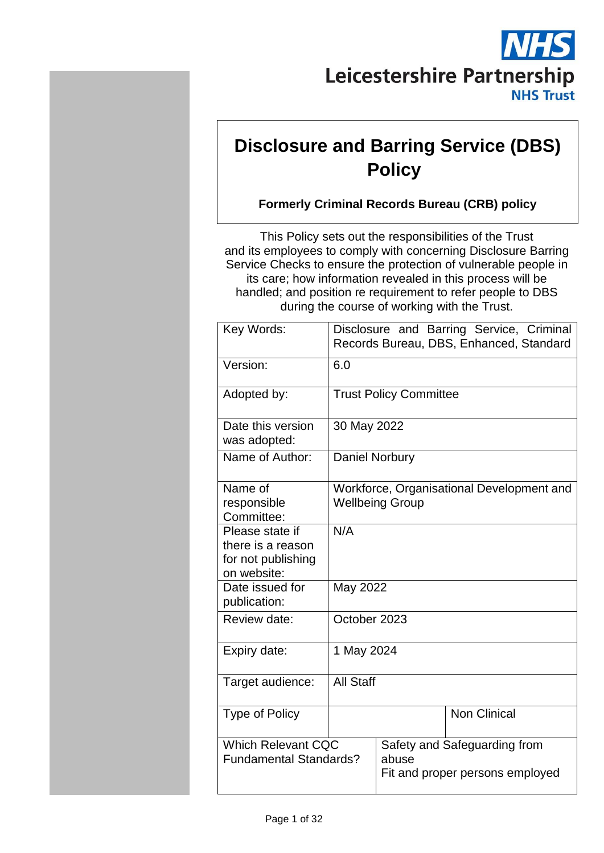

# **Disclosure and Barring Service (DBS) Policy**

# **Formerly Criminal Records Bureau (CRB) policy**

This Policy sets out the responsibilities of the Trust and its employees to comply with concerning Disclosure Barring Service Checks to ensure the protection of vulnerable people in its care; how information revealed in this process will be handled; and position re requirement to refer people to DBS during the course of working with the Trust.

| Key Words:                                                                | Disclosure and Barring Service, Criminal<br>Records Bureau, DBS, Enhanced, Standard |                                                                          |                     |  |
|---------------------------------------------------------------------------|-------------------------------------------------------------------------------------|--------------------------------------------------------------------------|---------------------|--|
| Version:                                                                  | 6.0                                                                                 |                                                                          |                     |  |
| Adopted by:                                                               |                                                                                     | <b>Trust Policy Committee</b>                                            |                     |  |
| Date this version<br>was adopted:                                         |                                                                                     | 30 May 2022                                                              |                     |  |
| Name of Author:                                                           | <b>Daniel Norbury</b>                                                               |                                                                          |                     |  |
| Name of<br>responsible<br>Committee:                                      | Workforce, Organisational Development and<br><b>Wellbeing Group</b>                 |                                                                          |                     |  |
| Please state if<br>there is a reason<br>for not publishing<br>on website: | N/A                                                                                 |                                                                          |                     |  |
| Date issued for<br>publication:                                           | May 2022                                                                            |                                                                          |                     |  |
| Review date:                                                              | October 2023                                                                        |                                                                          |                     |  |
| Expiry date:                                                              | 1 May 2024                                                                          |                                                                          |                     |  |
| Target audience:                                                          | <b>All Staff</b>                                                                    |                                                                          |                     |  |
| <b>Type of Policy</b>                                                     |                                                                                     |                                                                          | <b>Non Clinical</b> |  |
| <b>Which Relevant CQC</b><br><b>Fundamental Standards?</b>                |                                                                                     | Safety and Safeguarding from<br>abuse<br>Fit and proper persons employed |                     |  |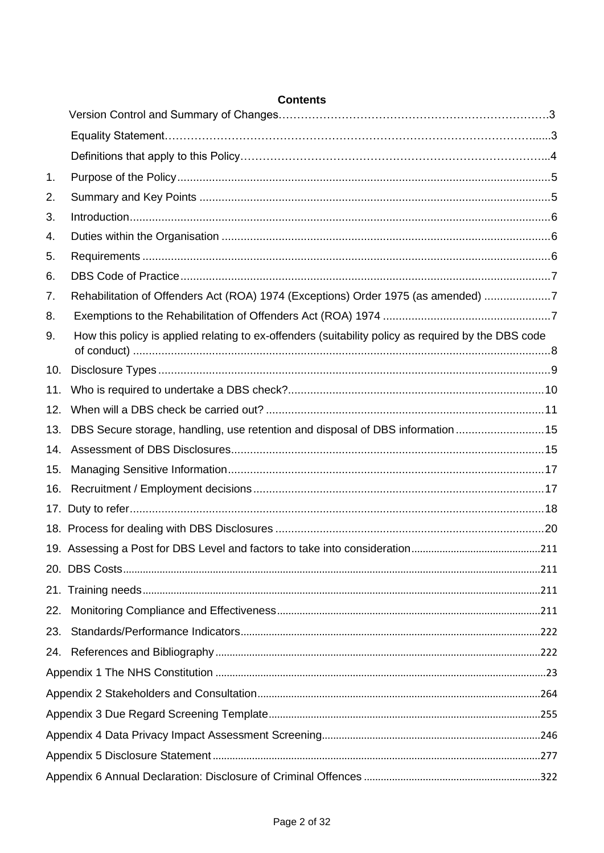| 1.  |                                                                                                     |  |
|-----|-----------------------------------------------------------------------------------------------------|--|
| 2.  |                                                                                                     |  |
| 3.  |                                                                                                     |  |
| 4.  |                                                                                                     |  |
| 5.  |                                                                                                     |  |
| 6.  |                                                                                                     |  |
| 7.  | Rehabilitation of Offenders Act (ROA) 1974 (Exceptions) Order 1975 (as amended) 7                   |  |
| 8.  |                                                                                                     |  |
| 9.  | How this policy is applied relating to ex-offenders (suitability policy as required by the DBS code |  |
| 10. |                                                                                                     |  |
| 11. |                                                                                                     |  |
| 12. |                                                                                                     |  |
| 13. | DBS Secure storage, handling, use retention and disposal of DBS information15                       |  |
| 14. |                                                                                                     |  |
| 15. |                                                                                                     |  |
| 16. |                                                                                                     |  |
|     |                                                                                                     |  |
|     |                                                                                                     |  |
|     |                                                                                                     |  |
|     |                                                                                                     |  |
|     |                                                                                                     |  |
| 22. |                                                                                                     |  |
| 23. |                                                                                                     |  |
| 24. |                                                                                                     |  |
|     |                                                                                                     |  |
|     |                                                                                                     |  |
|     |                                                                                                     |  |
|     |                                                                                                     |  |
|     |                                                                                                     |  |
|     |                                                                                                     |  |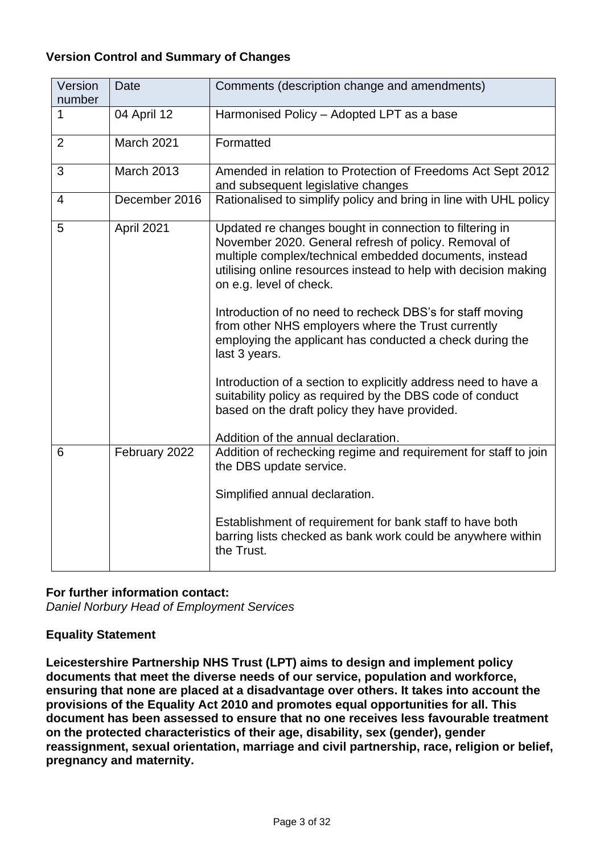# **Version Control and Summary of Changes**

| Version<br>number | <b>Date</b>       | Comments (description change and amendments)                                                                                                                                                                                                                                                                                                                                                                                                                                                                                                                                                           |
|-------------------|-------------------|--------------------------------------------------------------------------------------------------------------------------------------------------------------------------------------------------------------------------------------------------------------------------------------------------------------------------------------------------------------------------------------------------------------------------------------------------------------------------------------------------------------------------------------------------------------------------------------------------------|
|                   | 04 April 12       | Harmonised Policy - Adopted LPT as a base                                                                                                                                                                                                                                                                                                                                                                                                                                                                                                                                                              |
| 2                 | March 2021        | Formatted                                                                                                                                                                                                                                                                                                                                                                                                                                                                                                                                                                                              |
| 3                 | <b>March 2013</b> | Amended in relation to Protection of Freedoms Act Sept 2012<br>and subsequent legislative changes                                                                                                                                                                                                                                                                                                                                                                                                                                                                                                      |
| $\overline{4}$    | December 2016     | Rationalised to simplify policy and bring in line with UHL policy                                                                                                                                                                                                                                                                                                                                                                                                                                                                                                                                      |
| 5                 | April 2021        | Updated re changes bought in connection to filtering in<br>November 2020. General refresh of policy. Removal of<br>multiple complex/technical embedded documents, instead<br>utilising online resources instead to help with decision making<br>on e.g. level of check.<br>Introduction of no need to recheck DBS's for staff moving<br>from other NHS employers where the Trust currently<br>employing the applicant has conducted a check during the<br>last 3 years.<br>Introduction of a section to explicitly address need to have a<br>suitability policy as required by the DBS code of conduct |
|                   |                   | based on the draft policy they have provided.<br>Addition of the annual declaration.                                                                                                                                                                                                                                                                                                                                                                                                                                                                                                                   |
| 6                 | February 2022     | Addition of rechecking regime and requirement for staff to join<br>the DBS update service.                                                                                                                                                                                                                                                                                                                                                                                                                                                                                                             |
|                   |                   | Simplified annual declaration.                                                                                                                                                                                                                                                                                                                                                                                                                                                                                                                                                                         |
|                   |                   | Establishment of requirement for bank staff to have both<br>barring lists checked as bank work could be anywhere within<br>the Trust.                                                                                                                                                                                                                                                                                                                                                                                                                                                                  |

#### **For further information contact:**

*Daniel Norbury Head of Employment Services* 

#### **Equality Statement**

**Leicestershire Partnership NHS Trust (LPT) aims to design and implement policy documents that meet the diverse needs of our service, population and workforce, ensuring that none are placed at a disadvantage over others. It takes into account the provisions of the Equality Act 2010 and promotes equal opportunities for all. This document has been assessed to ensure that no one receives less favourable treatment on the protected characteristics of their age, disability, sex (gender), gender reassignment, sexual orientation, marriage and civil partnership, race, religion or belief, pregnancy and maternity.**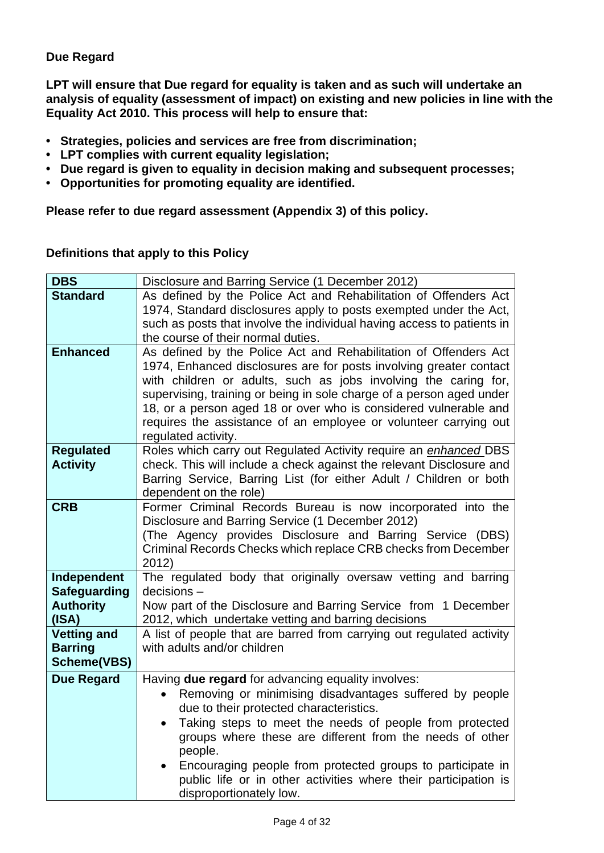# **Due Regard**

**LPT will ensure that Due regard for equality is taken and as such will undertake an analysis of equality (assessment of impact) on existing and new policies in line with the Equality Act 2010. This process will help to ensure that:** 

- **• Strategies, policies and services are free from discrimination;**
- **• LPT complies with current equality legislation;**
- **• Due regard is given to equality in decision making and subsequent processes;**
- **• Opportunities for promoting equality are identified.**

**Please refer to due regard assessment (Appendix 3) of this policy.**

| <b>DBS</b>                         | Disclosure and Barring Service (1 December 2012)                                                                                         |
|------------------------------------|------------------------------------------------------------------------------------------------------------------------------------------|
| <b>Standard</b>                    | As defined by the Police Act and Rehabilitation of Offenders Act                                                                         |
|                                    | 1974, Standard disclosures apply to posts exempted under the Act,                                                                        |
|                                    | such as posts that involve the individual having access to patients in                                                                   |
|                                    | the course of their normal duties.                                                                                                       |
| <b>Enhanced</b>                    | As defined by the Police Act and Rehabilitation of Offenders Act                                                                         |
|                                    | 1974, Enhanced disclosures are for posts involving greater contact                                                                       |
|                                    | with children or adults, such as jobs involving the caring for,                                                                          |
|                                    | supervising, training or being in sole charge of a person aged under<br>18, or a person aged 18 or over who is considered vulnerable and |
|                                    | requires the assistance of an employee or volunteer carrying out                                                                         |
|                                    | regulated activity.                                                                                                                      |
| <b>Regulated</b>                   | Roles which carry out Regulated Activity require an enhanced DBS                                                                         |
| <b>Activity</b>                    | check. This will include a check against the relevant Disclosure and                                                                     |
|                                    | Barring Service, Barring List (for either Adult / Children or both                                                                       |
|                                    | dependent on the role)                                                                                                                   |
| <b>CRB</b>                         | Former Criminal Records Bureau is now incorporated into the                                                                              |
|                                    | Disclosure and Barring Service (1 December 2012)                                                                                         |
|                                    | (The Agency provides Disclosure and Barring Service (DBS)                                                                                |
|                                    | Criminal Records Checks which replace CRB checks from December                                                                           |
|                                    | 2012)                                                                                                                                    |
| Independent<br><b>Safeguarding</b> | The regulated body that originally oversaw vetting and barring<br>$decisions -$                                                          |
| <b>Authority</b>                   | Now part of the Disclosure and Barring Service from 1 December                                                                           |
| (ISA)                              | 2012, which undertake vetting and barring decisions                                                                                      |
| <b>Vetting and</b>                 | A list of people that are barred from carrying out regulated activity                                                                    |
| <b>Barring</b>                     | with adults and/or children                                                                                                              |
| <b>Scheme(VBS)</b>                 |                                                                                                                                          |
| <b>Due Regard</b>                  | Having <b>due regard</b> for advancing equality involves:                                                                                |
|                                    | Removing or minimising disadvantages suffered by people                                                                                  |
|                                    | due to their protected characteristics.                                                                                                  |
|                                    | Taking steps to meet the needs of people from protected                                                                                  |
|                                    | groups where these are different from the needs of other                                                                                 |
|                                    | people.                                                                                                                                  |
|                                    | Encouraging people from protected groups to participate in                                                                               |
|                                    | public life or in other activities where their participation is                                                                          |
|                                    | disproportionately low.                                                                                                                  |

#### **Definitions that apply to this Policy**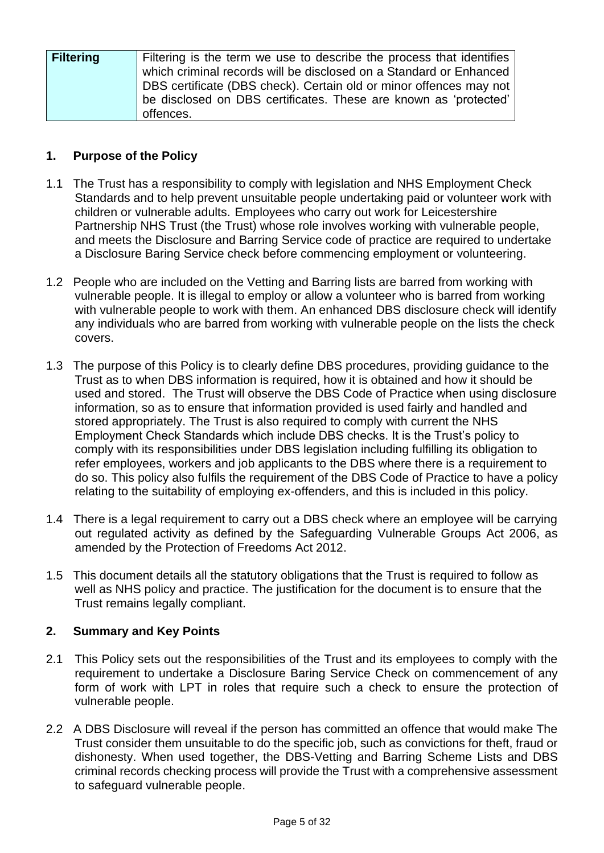| <b>Filtering</b> | Filtering is the term we use to describe the process that identifies |
|------------------|----------------------------------------------------------------------|
|                  | which criminal records will be disclosed on a Standard or Enhanced   |
|                  | DBS certificate (DBS check). Certain old or minor offences may not   |
|                  | be disclosed on DBS certificates. These are known as 'protected'     |
|                  | offences.                                                            |

# <span id="page-4-0"></span>**1. Purpose of the Policy**

- 1.1 The Trust has a responsibility to comply with legislation and NHS Employment Check Standards and to help prevent unsuitable people undertaking paid or volunteer work with children or vulnerable adults. Employees who carry out work for Leicestershire Partnership NHS Trust (the Trust) whose role involves working with vulnerable people, and meets the Disclosure and Barring Service code of practice are required to undertake a Disclosure Baring Service check before commencing employment or volunteering.
- 1.2 People who are included on the Vetting and Barring lists are barred from working with vulnerable people. It is illegal to employ or allow a volunteer who is barred from working with vulnerable people to work with them. An enhanced DBS disclosure check will identify any individuals who are barred from working with vulnerable people on the lists the check covers.
- 1.3 The purpose of this Policy is to clearly define DBS procedures, providing guidance to the Trust as to when DBS information is required, how it is obtained and how it should be used and stored. The Trust will observe the DBS Code of Practice when using disclosure information, so as to ensure that information provided is used fairly and handled and stored appropriately. The Trust is also required to comply with current the NHS Employment Check Standards which include DBS checks. It is the Trust's policy to comply with its responsibilities under DBS legislation including fulfilling its obligation to refer employees, workers and job applicants to the DBS where there is a requirement to do so. This policy also fulfils the requirement of the DBS Code of Practice to have a policy relating to the suitability of employing ex-offenders, and this is included in this policy.
- 1.4 There is a legal requirement to carry out a DBS check where an employee will be carrying out regulated activity as defined by the Safeguarding Vulnerable Groups Act 2006, as amended by the Protection of Freedoms Act 2012.
- 1.5 This document details all the statutory obligations that the Trust is required to follow as well as NHS policy and practice. The justification for the document is to ensure that the Trust remains legally compliant.

# <span id="page-4-1"></span>**2. Summary and Key Points**

- 2.1 This Policy sets out the responsibilities of the Trust and its employees to comply with the requirement to undertake a Disclosure Baring Service Check on commencement of any form of work with LPT in roles that require such a check to ensure the protection of vulnerable people.
- 2.2 A DBS Disclosure will reveal if the person has committed an offence that would make The Trust consider them unsuitable to do the specific job, such as convictions for theft, fraud or dishonesty. When used together, the DBS-Vetting and Barring Scheme Lists and DBS criminal records checking process will provide the Trust with a comprehensive assessment to safeguard vulnerable people.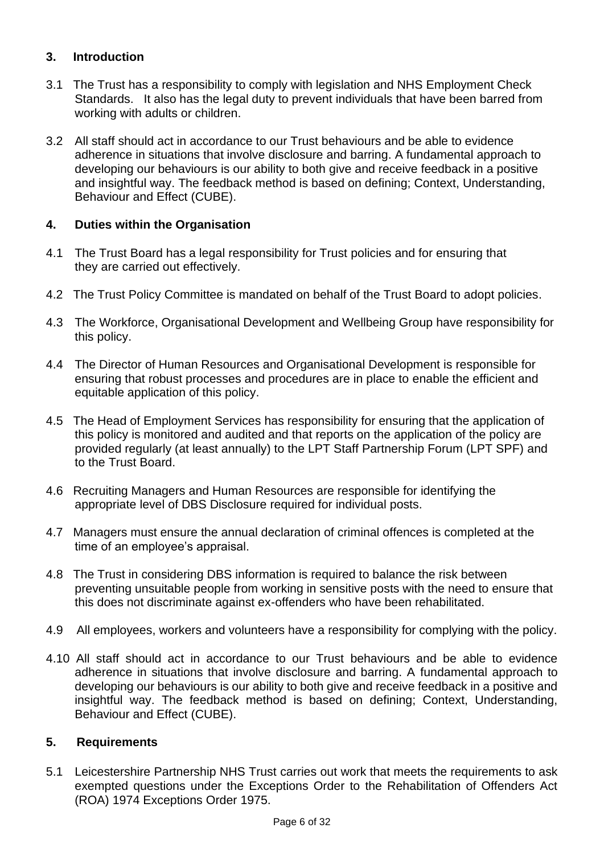# <span id="page-5-0"></span>**3. Introduction**

- 3.1 The Trust has a responsibility to comply with legislation and NHS Employment Check Standards. It also has the legal duty to prevent individuals that have been barred from working with adults or children.
- 3.2 All staff should act in accordance to our Trust behaviours and be able to evidence adherence in situations that involve disclosure and barring. A fundamental approach to developing our behaviours is our ability to both give and receive feedback in a positive and insightful way. The feedback method is based on defining; Context, Understanding, Behaviour and Effect (CUBE).

# <span id="page-5-1"></span>**4. Duties within the Organisation**

- 4.1 The Trust Board has a legal responsibility for Trust policies and for ensuring that they are carried out effectively.
- 4.2 The Trust Policy Committee is mandated on behalf of the Trust Board to adopt policies.
- 4.3 The Workforce, Organisational Development and Wellbeing Group have responsibility for this policy.
- 4.4 The Director of Human Resources and Organisational Development is responsible for ensuring that robust processes and procedures are in place to enable the efficient and equitable application of this policy.
- 4.5 The Head of Employment Services has responsibility for ensuring that the application of this policy is monitored and audited and that reports on the application of the policy are provided regularly (at least annually) to the LPT Staff Partnership Forum (LPT SPF) and to the Trust Board.
- 4.6 Recruiting Managers and Human Resources are responsible for identifying the appropriate level of DBS Disclosure required for individual posts.
- 4.7 Managers must ensure the annual declaration of criminal offences is completed at the time of an employee's appraisal.
- 4.8 The Trust in considering DBS information is required to balance the risk between preventing unsuitable people from working in sensitive posts with the need to ensure that this does not discriminate against ex-offenders who have been rehabilitated.
- 4.9 All employees, workers and volunteers have a responsibility for complying with the policy.
- 4.10 All staff should act in accordance to our Trust behaviours and be able to evidence adherence in situations that involve disclosure and barring. A fundamental approach to developing our behaviours is our ability to both give and receive feedback in a positive and insightful way. The feedback method is based on defining; Context, Understanding, Behaviour and Effect (CUBE).

# <span id="page-5-2"></span>**5. Requirements**

5.1 Leicestershire Partnership NHS Trust carries out work that meets the requirements to ask exempted questions under the Exceptions Order to the Rehabilitation of Offenders Act (ROA) 1974 Exceptions Order 1975.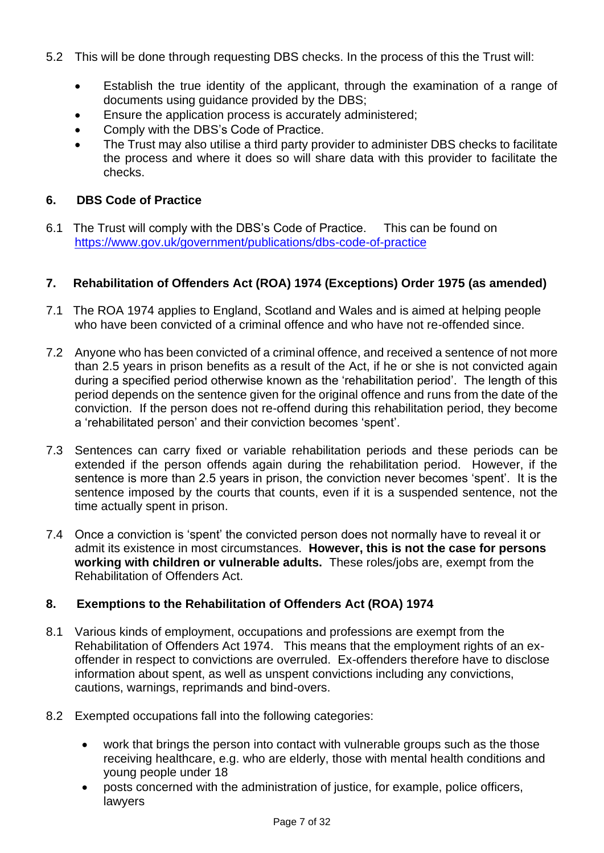- 5.2 This will be done through requesting DBS checks. In the process of this the Trust will:
	- Establish the true identity of the applicant, through the examination of a range of documents using guidance provided by the DBS;
	- Ensure the application process is accurately administered;
	- Comply with the DBS's Code of Practice.
	- The Trust may also utilise a third party provider to administer DBS checks to facilitate the process and where it does so will share data with this provider to facilitate the checks.

# <span id="page-6-0"></span>**6. DBS Code of Practice**

6.1 The Trust will comply with the DBS's Code of Practice. This can be found on <https://www.gov.uk/government/publications/dbs-code-of-practice>

# <span id="page-6-1"></span>**7. Rehabilitation of Offenders Act (ROA) 1974 (Exceptions) Order 1975 (as amended)**

- 7.1 The ROA 1974 applies to England, Scotland and Wales and is aimed at helping people who have been convicted of a criminal offence and who have not re-offended since.
- 7.2 Anyone who has been convicted of a criminal offence, and received a sentence of not more than 2.5 years in prison benefits as a result of the Act, if he or she is not convicted again during a specified period otherwise known as the 'rehabilitation period'. The length of this period depends on the sentence given for the original offence and runs from the date of the conviction. If the person does not re-offend during this rehabilitation period, they become a 'rehabilitated person' and their conviction becomes 'spent'.
- 7.3 Sentences can carry fixed or variable rehabilitation periods and these periods can be extended if the person offends again during the rehabilitation period. However, if the sentence is more than 2.5 years in prison, the conviction never becomes 'spent'. It is the sentence imposed by the courts that counts, even if it is a suspended sentence, not the time actually spent in prison.
- 7.4 Once a conviction is 'spent' the convicted person does not normally have to reveal it or admit its existence in most circumstances. **However, this is not the case for persons working with children or vulnerable adults.** These roles/jobs are, exempt from the Rehabilitation of Offenders Act.

# <span id="page-6-2"></span>**8. Exemptions to the Rehabilitation of Offenders Act (ROA) 1974**

- 8.1 Various kinds of employment, occupations and professions are exempt from the Rehabilitation of Offenders Act 1974. This means that the employment rights of an exoffender in respect to convictions are overruled. Ex-offenders therefore have to disclose information about spent, as well as unspent convictions including any convictions, cautions, warnings, reprimands and bind-overs.
- 8.2 Exempted occupations fall into the following categories:
	- work that brings the person into contact with vulnerable groups such as the those receiving healthcare, e.g. who are elderly, those with mental health conditions and young people under 18
	- posts concerned with the administration of justice, for example, police officers, lawyers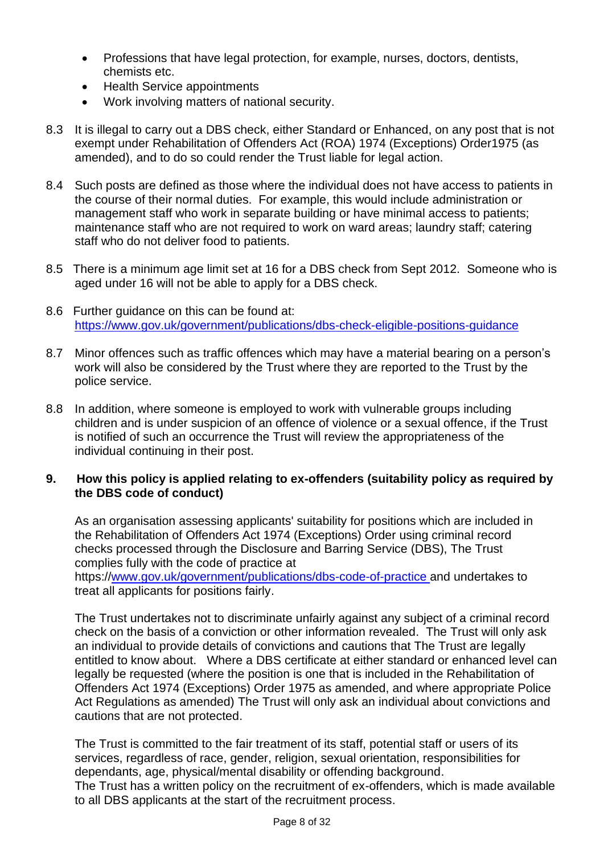- Professions that have legal protection, for example, nurses, doctors, dentists, chemists etc.
- Health Service appointments
- Work involving matters of national security.
- 8.3 It is illegal to carry out a DBS check, either Standard or Enhanced, on any post that is not exempt under Rehabilitation of Offenders Act (ROA) 1974 (Exceptions) Order1975 (as amended), and to do so could render the Trust liable for legal action.
- 8.4 Such posts are defined as those where the individual does not have access to patients in the course of their normal duties. For example, this would include administration or management staff who work in separate building or have minimal access to patients; maintenance staff who are not required to work on ward areas; laundry staff; catering staff who do not deliver food to patients.
- 8.5 There is a minimum age limit set at 16 for a DBS check from Sept 2012. Someone who is aged under 16 will not be able to apply for a DBS check.
- 8.6 Further guidance on this can be found at: <https://www.gov.uk/government/publications/dbs-check-eligible-positions-guidance>
- 8.7 Minor offences such as traffic offences which may have a material bearing on a person's work will also be considered by the Trust where they are reported to the Trust by the police service.
- 8.8 In addition, where someone is employed to work with vulnerable groups including children and is under suspicion of an offence of violence or a sexual offence, if the Trust is notified of such an occurrence the Trust will review the appropriateness of the individual continuing in their post.

# <span id="page-7-0"></span>**9. How this policy is applied relating to ex-offenders (suitability policy as required by the DBS code of conduct)**

As an organisation assessing applicants' suitability for positions which are included in the Rehabilitation of Offenders Act 1974 (Exceptions) Order using criminal record checks processed through the Disclosure and Barring Service (DBS), The Trust complies fully with the code of practice at https:/[/www.gov.uk/government/publications/dbs-code-of-practice a](http://www.gov.uk/government/publications/dbs-code-of-practice)nd undertakes to

treat all applicants for positions fairly.

The Trust undertakes not to discriminate unfairly against any subject of a criminal record check on the basis of a conviction or other information revealed. The Trust will only ask an individual to provide details of convictions and cautions that The Trust are legally entitled to know about. Where a DBS certificate at either standard or enhanced level can legally be requested (where the position is one that is included in the Rehabilitation of Offenders Act 1974 (Exceptions) Order 1975 as amended, and where appropriate Police Act Regulations as amended) The Trust will only ask an individual about convictions and cautions that are not protected.

The Trust is committed to the fair treatment of its staff, potential staff or users of its services, regardless of race, gender, religion, sexual orientation, responsibilities for dependants, age, physical/mental disability or offending background. The Trust has a written policy on the recruitment of ex-offenders, which is made available to all DBS applicants at the start of the recruitment process.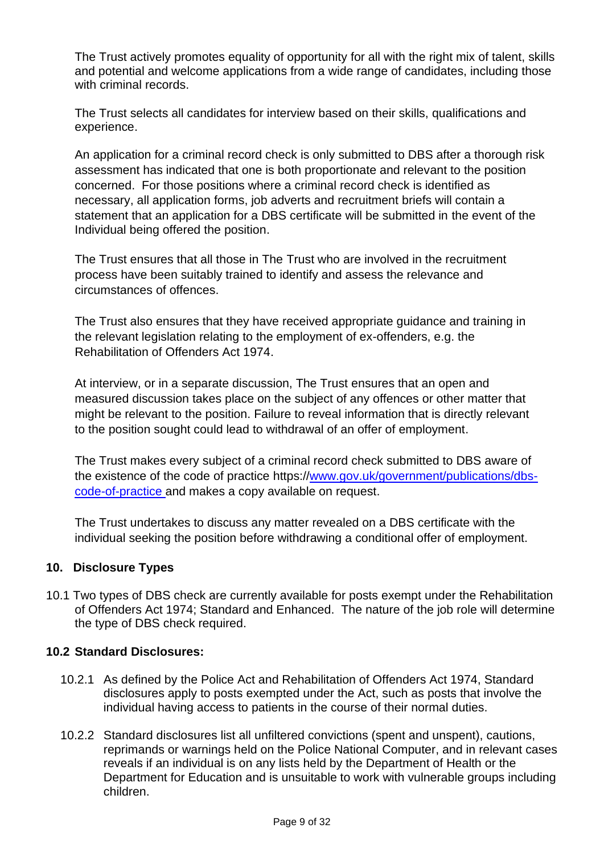The Trust actively promotes equality of opportunity for all with the right mix of talent, skills and potential and welcome applications from a wide range of candidates, including those with criminal records.

The Trust selects all candidates for interview based on their skills, qualifications and experience.

An application for a criminal record check is only submitted to DBS after a thorough risk assessment has indicated that one is both proportionate and relevant to the position concerned. For those positions where a criminal record check is identified as necessary, all application forms, job adverts and recruitment briefs will contain a statement that an application for a DBS certificate will be submitted in the event of the Individual being offered the position.

The Trust ensures that all those in The Trust who are involved in the recruitment process have been suitably trained to identify and assess the relevance and circumstances of offences.

The Trust also ensures that they have received appropriate guidance and training in the relevant legislation relating to the employment of ex-offenders, e.g. the Rehabilitation of Offenders Act 1974.

At interview, or in a separate discussion, The Trust ensures that an open and measured discussion takes place on the subject of any offences or other matter that might be relevant to the position. Failure to reveal information that is directly relevant to the position sought could lead to withdrawal of an offer of employment.

The Trust makes every subject of a criminal record check submitted to DBS aware of the existence of the code of practice https:/[/www.gov.uk/government/publications/dbs](http://www.gov.uk/government/publications/dbs-code-of-practice)[code-of-practice a](http://www.gov.uk/government/publications/dbs-code-of-practice)nd makes a copy available on request.

The Trust undertakes to discuss any matter revealed on a DBS certificate with the individual seeking the position before withdrawing a conditional offer of employment.

#### <span id="page-8-0"></span>**10. Disclosure Types**

10.1 Two types of DBS check are currently available for posts exempt under the Rehabilitation of Offenders Act 1974; Standard and Enhanced. The nature of the job role will determine the type of DBS check required.

#### **10.2 Standard Disclosures:**

- 10.2.1 As defined by the Police Act and Rehabilitation of Offenders Act 1974, Standard disclosures apply to posts exempted under the Act, such as posts that involve the individual having access to patients in the course of their normal duties.
- 10.2.2 Standard disclosures list all unfiltered convictions (spent and unspent), cautions, reprimands or warnings held on the Police National Computer, and in relevant cases reveals if an individual is on any lists held by the Department of Health or the Department for Education and is unsuitable to work with vulnerable groups including children.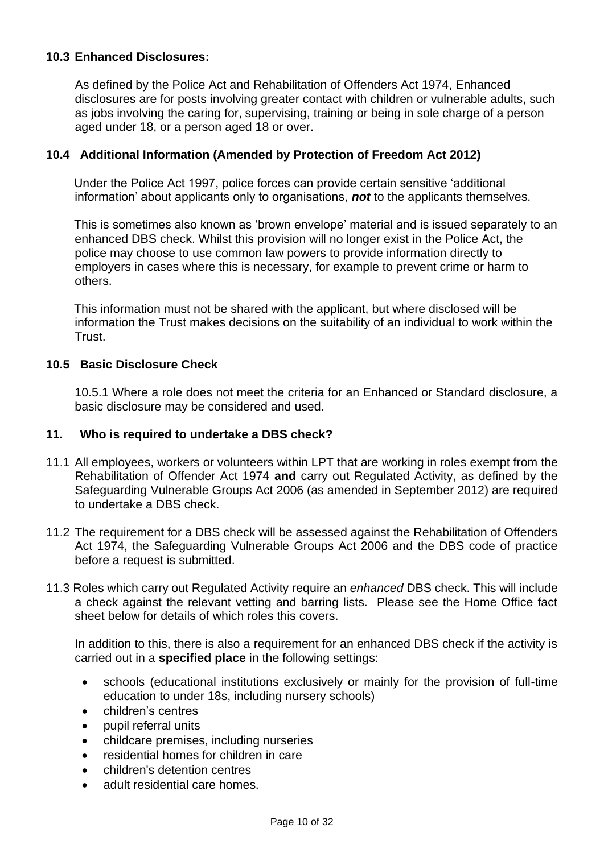# **10.3 Enhanced Disclosures:**

As defined by the Police Act and Rehabilitation of Offenders Act 1974, Enhanced disclosures are for posts involving greater contact with children or vulnerable adults, such as jobs involving the caring for, supervising, training or being in sole charge of a person aged under 18, or a person aged 18 or over.

# **10.4 Additional Information (Amended by Protection of Freedom Act 2012)**

 Under the Police Act 1997, police forces can provide certain sensitive 'additional information' about applicants only to organisations, *not* to the applicants themselves.

 This is sometimes also known as 'brown envelope' material and is issued separately to an enhanced DBS check. Whilst this provision will no longer exist in the Police Act, the police may choose to use common law powers to provide information directly to employers in cases where this is necessary, for example to prevent crime or harm to others.

 This information must not be shared with the applicant, but where disclosed will be information the Trust makes decisions on the suitability of an individual to work within the Trust.

#### **10.5 Basic Disclosure Check**

10.5.1 Where a role does not meet the criteria for an Enhanced or Standard disclosure, a basic disclosure may be considered and used.

#### <span id="page-9-0"></span>**11. Who is required to undertake a DBS check?**

- 11.1 All employees, workers or volunteers within LPT that are working in roles exempt from the Rehabilitation of Offender Act 1974 **and** carry out Regulated Activity, as defined by the Safeguarding Vulnerable Groups Act 2006 (as amended in September 2012) are required to undertake a DBS check.
- 11.2 The requirement for a DBS check will be assessed against the Rehabilitation of Offenders Act 1974, the Safeguarding Vulnerable Groups Act 2006 and the DBS code of practice before a request is submitted.
- 11.3 Roles which carry out Regulated Activity require an *enhanced* DBS check. This will include a check against the relevant vetting and barring lists. Please see the Home Office fact sheet below for details of which roles this covers.

In addition to this, there is also a requirement for an enhanced DBS check if the activity is carried out in a **specified place** in the following settings:

- schools (educational institutions exclusively or mainly for the provision of full-time education to under 18s, including nursery schools)
- children's centres
- pupil referral units
- childcare premises, including nurseries
- residential homes for children in care
- children's detention centres
- adult residential care homes.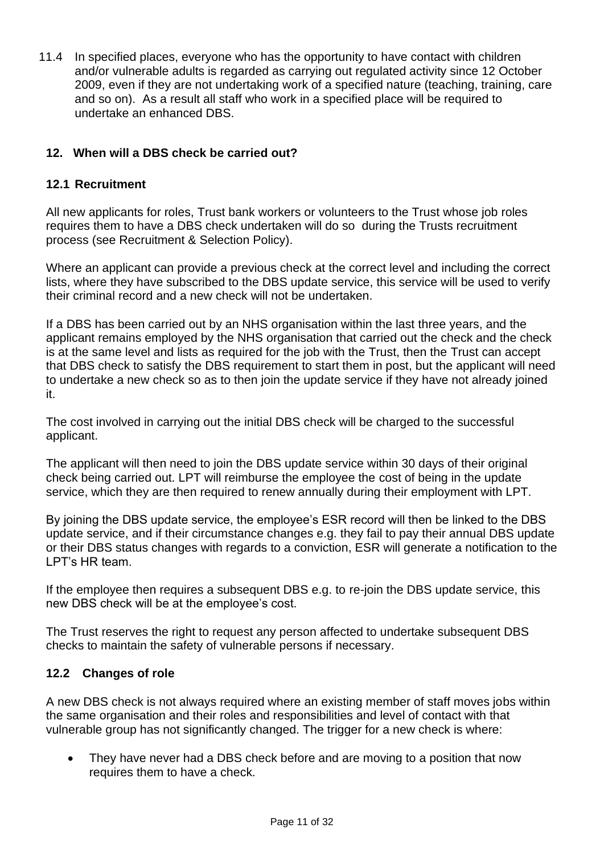11.4 In specified places, everyone who has the opportunity to have contact with children and/or vulnerable adults is regarded as carrying out regulated activity since 12 October 2009, even if they are not undertaking work of a specified nature (teaching, training, care and so on). As a result all staff who work in a specified place will be required to undertake an enhanced DBS.

# <span id="page-10-0"></span>**12. When will a DBS check be carried out?**

# **12.1 Recruitment**

All new applicants for roles, Trust bank workers or volunteers to the Trust whose job roles requires them to have a DBS check undertaken will do so during the Trusts recruitment process (see Recruitment & Selection Policy).

Where an applicant can provide a previous check at the correct level and including the correct lists, where they have subscribed to the DBS update service, this service will be used to verify their criminal record and a new check will not be undertaken.

If a DBS has been carried out by an NHS organisation within the last three years, and the applicant remains employed by the NHS organisation that carried out the check and the check is at the same level and lists as required for the job with the Trust, then the Trust can accept that DBS check to satisfy the DBS requirement to start them in post, but the applicant will need to undertake a new check so as to then join the update service if they have not already joined it.

The cost involved in carrying out the initial DBS check will be charged to the successful applicant.

The applicant will then need to join the DBS update service within 30 days of their original check being carried out. LPT will reimburse the employee the cost of being in the update service, which they are then required to renew annually during their employment with LPT.

By joining the DBS update service, the employee's ESR record will then be linked to the DBS update service, and if their circumstance changes e.g. they fail to pay their annual DBS update or their DBS status changes with regards to a conviction, ESR will generate a notification to the LPT's HR team.

If the employee then requires a subsequent DBS e.g. to re-join the DBS update service, this new DBS check will be at the employee's cost.

The Trust reserves the right to request any person affected to undertake subsequent DBS checks to maintain the safety of vulnerable persons if necessary.

#### **12.2 Changes of role**

A new DBS check is not always required where an existing member of staff moves jobs within the same organisation and their roles and responsibilities and level of contact with that vulnerable group has not significantly changed. The trigger for a new check is where:

• They have never had a DBS check before and are moving to a position that now requires them to have a check.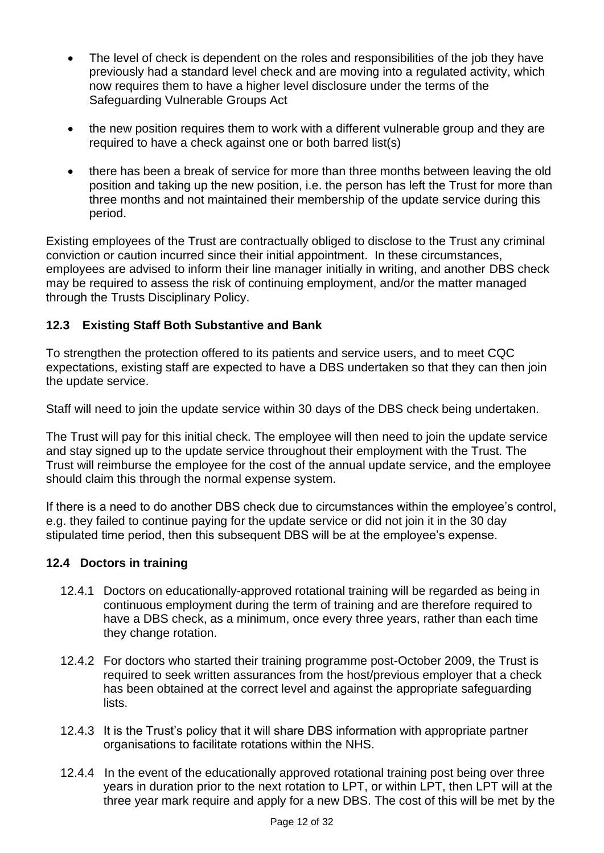- The level of check is dependent on the roles and responsibilities of the job they have previously had a standard level check and are moving into a regulated activity, which now requires them to have a higher level disclosure under the terms of the Safeguarding Vulnerable Groups Act
- the new position requires them to work with a different vulnerable group and they are required to have a check against one or both barred list(s)
- there has been a break of service for more than three months between leaving the old position and taking up the new position, i.e. the person has left the Trust for more than three months and not maintained their membership of the update service during this period.

Existing employees of the Trust are contractually obliged to disclose to the Trust any criminal conviction or caution incurred since their initial appointment. In these circumstances, employees are advised to inform their line manager initially in writing, and another DBS check may be required to assess the risk of continuing employment, and/or the matter managed through the Trusts Disciplinary Policy.

# **12.3 Existing Staff Both Substantive and Bank**

To strengthen the protection offered to its patients and service users, and to meet CQC expectations, existing staff are expected to have a DBS undertaken so that they can then join the update service.

Staff will need to join the update service within 30 days of the DBS check being undertaken.

The Trust will pay for this initial check. The employee will then need to join the update service and stay signed up to the update service throughout their employment with the Trust. The Trust will reimburse the employee for the cost of the annual update service, and the employee should claim this through the normal expense system.

If there is a need to do another DBS check due to circumstances within the employee's control, e.g. they failed to continue paying for the update service or did not join it in the 30 day stipulated time period, then this subsequent DBS will be at the employee's expense.

# **12.4 Doctors in training**

- 12.4.1 Doctors on educationally-approved rotational training will be regarded as being in continuous employment during the term of training and are therefore required to have a DBS check, as a minimum, once every three years, rather than each time they change rotation.
- 12.4.2 For doctors who started their training programme post-October 2009, the Trust is required to seek written assurances from the host/previous employer that a check has been obtained at the correct level and against the appropriate safeguarding lists.
- 12.4.3 It is the Trust's policy that it will share DBS information with appropriate partner organisations to facilitate rotations within the NHS.
- 12.4.4 In the event of the educationally approved rotational training post being over three years in duration prior to the next rotation to LPT, or within LPT, then LPT will at the three year mark require and apply for a new DBS. The cost of this will be met by the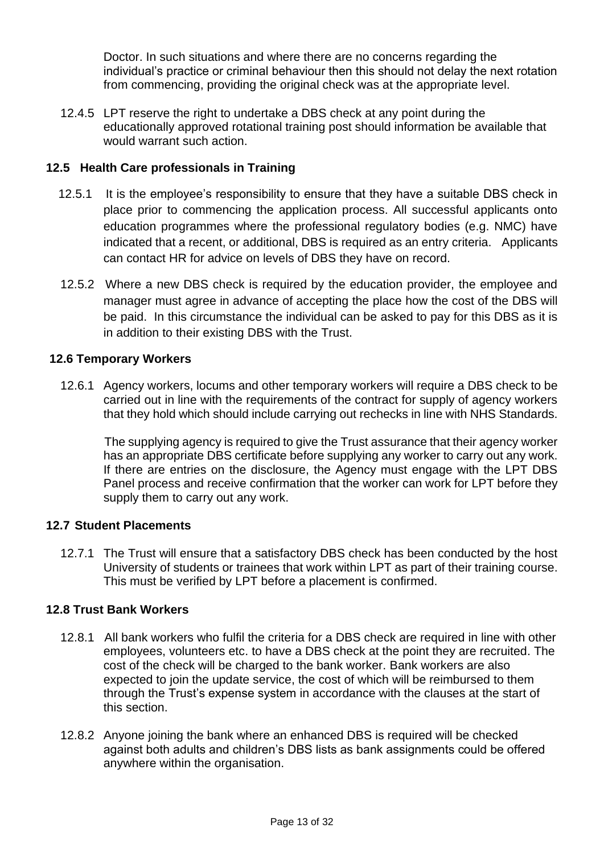Doctor. In such situations and where there are no concerns regarding the individual's practice or criminal behaviour then this should not delay the next rotation from commencing, providing the original check was at the appropriate level.

12.4.5 LPT reserve the right to undertake a DBS check at any point during the educationally approved rotational training post should information be available that would warrant such action.

# **12.5 Health Care professionals in Training**

- 12.5.1 It is the employee's responsibility to ensure that they have a suitable DBS check in place prior to commencing the application process. All successful applicants onto education programmes where the professional regulatory bodies (e.g. NMC) have indicated that a recent, or additional, DBS is required as an entry criteria. Applicants can contact HR for advice on levels of DBS they have on record.
- 12.5.2 Where a new DBS check is required by the education provider, the employee and manager must agree in advance of accepting the place how the cost of the DBS will be paid. In this circumstance the individual can be asked to pay for this DBS as it is in addition to their existing DBS with the Trust.

#### **12.6 Temporary Workers**

12.6.1 Agency workers, locums and other temporary workers will require a DBS check to be carried out in line with the requirements of the contract for supply of agency workers that they hold which should include carrying out rechecks in line with NHS Standards.

 The supplying agency is required to give the Trust assurance that their agency worker has an appropriate DBS certificate before supplying any worker to carry out any work. If there are entries on the disclosure, the Agency must engage with the LPT DBS Panel process and receive confirmation that the worker can work for LPT before they supply them to carry out any work.

#### **12.7 Student Placements**

12.7.1 The Trust will ensure that a satisfactory DBS check has been conducted by the host University of students or trainees that work within LPT as part of their training course. This must be verified by LPT before a placement is confirmed.

#### **12.8 Trust Bank Workers**

- 12.8.1 All bank workers who fulfil the criteria for a DBS check are required in line with other employees, volunteers etc. to have a DBS check at the point they are recruited. The cost of the check will be charged to the bank worker. Bank workers are also expected to join the update service, the cost of which will be reimbursed to them through the Trust's expense system in accordance with the clauses at the start of this section.
- 12.8.2 Anyone joining the bank where an enhanced DBS is required will be checked against both adults and children's DBS lists as bank assignments could be offered anywhere within the organisation.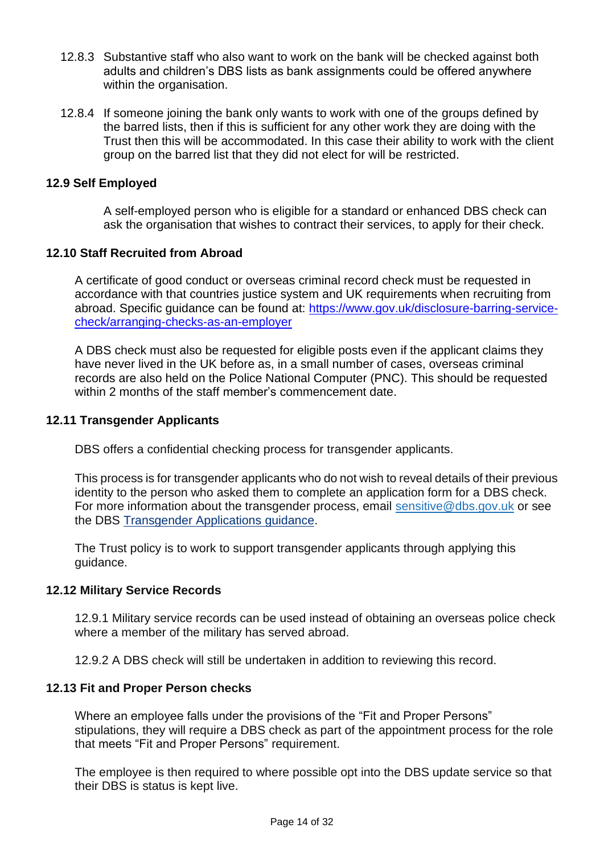- 12.8.3 Substantive staff who also want to work on the bank will be checked against both adults and children's DBS lists as bank assignments could be offered anywhere within the organisation.
- 12.8.4 If someone joining the bank only wants to work with one of the groups defined by the barred lists, then if this is sufficient for any other work they are doing with the Trust then this will be accommodated. In this case their ability to work with the client group on the barred list that they did not elect for will be restricted.

#### **12.9 Self Employed**

A self-employed person who is eligible for a standard or enhanced DBS check can ask the organisation that wishes to contract their services, to apply for their check.

#### **12.10 Staff Recruited from Abroad**

A certificate of good conduct or overseas criminal record check must be requested in accordance with that countries justice system and UK requirements when recruiting from abroad. Specific quidance can be found at: [https://www.gov.uk/disclosure-barring-service](https://www.gov.uk/disclosure-barring-service-check/arranging-checks-as-an-employer)[check/arranging-checks-as-an-employer](https://www.gov.uk/disclosure-barring-service-check/arranging-checks-as-an-employer)

A DBS check must also be requested for eligible posts even if the applicant claims they have never lived in the UK before as, in a small number of cases, overseas criminal records are also held on the Police National Computer (PNC). This should be requested within 2 months of the staff member's commencement date.

#### **12.11 Transgender Applicants**

DBS offers a confidential checking process for transgender applicants.

This process is for transgender applicants who do not wish to reveal details of their previous identity to the person who asked them to complete an application form for a DBS check. For more information about the transgender process, email [sensitive@dbs.gov.uk](mailto:sensitive@dbs.gov.uk) or see the DBS [Transgender](https://www.gov.uk/guidance/transgender-applications) Applications guidance.

The Trust policy is to work to support transgender applicants through applying this guidance.

#### **12.12 Military Service Records**

12.9.1 Military service records can be used instead of obtaining an overseas police check where a member of the military has served abroad.

12.9.2 A DBS check will still be undertaken in addition to reviewing this record.

#### **12.13 Fit and Proper Person checks**

Where an employee falls under the provisions of the "Fit and Proper Persons" stipulations, they will require a DBS check as part of the appointment process for the role that meets "Fit and Proper Persons" requirement.

The employee is then required to where possible opt into the DBS update service so that their DBS is status is kept live.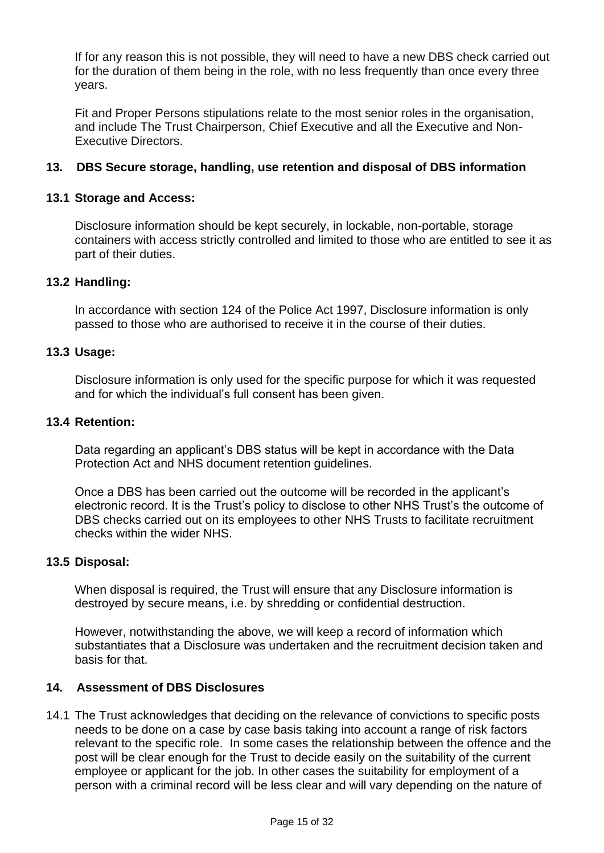If for any reason this is not possible, they will need to have a new DBS check carried out for the duration of them being in the role, with no less frequently than once every three years.

Fit and Proper Persons stipulations relate to the most senior roles in the organisation, and include The Trust Chairperson, Chief Executive and all the Executive and Non-Executive Directors.

# <span id="page-14-0"></span>**13. DBS Secure storage, handling, use retention and disposal of DBS information**

#### **13.1 Storage and Access:**

Disclosure information should be kept securely, in lockable, non-portable, storage containers with access strictly controlled and limited to those who are entitled to see it as part of their duties.

#### **13.2 Handling:**

In accordance with section 124 of the Police Act 1997, Disclosure information is only passed to those who are authorised to receive it in the course of their duties.

#### **13.3 Usage:**

Disclosure information is only used for the specific purpose for which it was requested and for which the individual's full consent has been given.

#### **13.4 Retention:**

Data regarding an applicant's DBS status will be kept in accordance with the Data Protection Act and NHS document retention guidelines.

Once a DBS has been carried out the outcome will be recorded in the applicant's electronic record. It is the Trust's policy to disclose to other NHS Trust's the outcome of DBS checks carried out on its employees to other NHS Trusts to facilitate recruitment checks within the wider NHS.

#### **13.5 Disposal:**

When disposal is required, the Trust will ensure that any Disclosure information is destroyed by secure means, i.e. by shredding or confidential destruction.

However, notwithstanding the above, we will keep a record of information which substantiates that a Disclosure was undertaken and the recruitment decision taken and basis for that.

#### <span id="page-14-1"></span>**14. Assessment of DBS Disclosures**

14.1 The Trust acknowledges that deciding on the relevance of convictions to specific posts needs to be done on a case by case basis taking into account a range of risk factors relevant to the specific role. In some cases the relationship between the offence and the post will be clear enough for the Trust to decide easily on the suitability of the current employee or applicant for the job. In other cases the suitability for employment of a person with a criminal record will be less clear and will vary depending on the nature of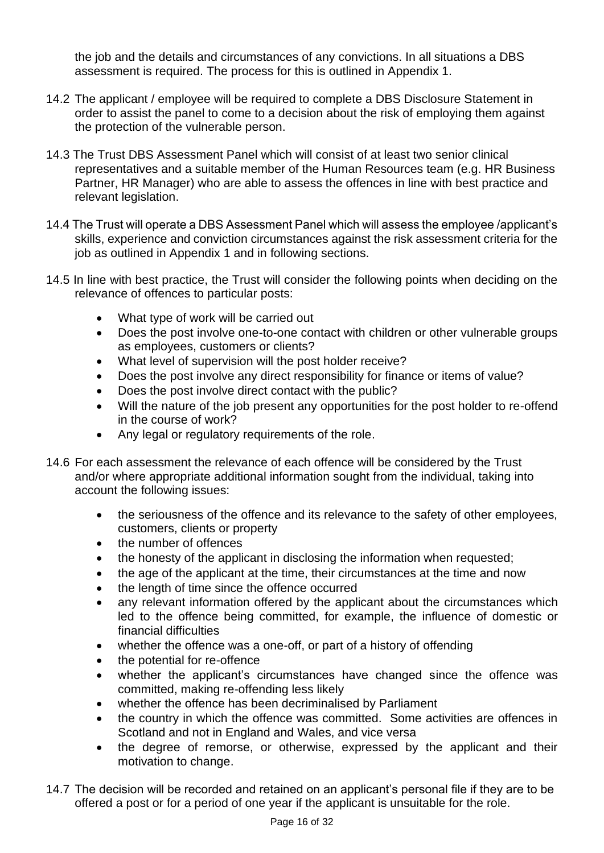the job and the details and circumstances of any convictions. In all situations a DBS assessment is required. The process for this is outlined in Appendix 1.

- 14.2 The applicant / employee will be required to complete a DBS Disclosure Statement in order to assist the panel to come to a decision about the risk of employing them against the protection of the vulnerable person.
- 14.3 The Trust DBS Assessment Panel which will consist of at least two senior clinical representatives and a suitable member of the Human Resources team (e.g. HR Business Partner, HR Manager) who are able to assess the offences in line with best practice and relevant legislation.
- 14.4 The Trust will operate a DBS Assessment Panel which will assess the employee /applicant's skills, experience and conviction circumstances against the risk assessment criteria for the job as outlined in Appendix 1 and in following sections.
- 14.5 In line with best practice, the Trust will consider the following points when deciding on the relevance of offences to particular posts:
	- What type of work will be carried out
	- Does the post involve one-to-one contact with children or other vulnerable groups as employees, customers or clients?
	- What level of supervision will the post holder receive?
	- Does the post involve any direct responsibility for finance or items of value?
	- Does the post involve direct contact with the public?
	- Will the nature of the job present any opportunities for the post holder to re-offend in the course of work?
	- Any legal or regulatory requirements of the role.
- 14.6 For each assessment the relevance of each offence will be considered by the Trust and/or where appropriate additional information sought from the individual, taking into account the following issues:
	- the seriousness of the offence and its relevance to the safety of other employees, customers, clients or property
	- the number of offences
	- the honesty of the applicant in disclosing the information when requested;
	- the age of the applicant at the time, their circumstances at the time and now
	- the length of time since the offence occurred
	- any relevant information offered by the applicant about the circumstances which led to the offence being committed, for example, the influence of domestic or financial difficulties
	- whether the offence was a one-off, or part of a history of offending
	- the potential for re-offence
	- whether the applicant's circumstances have changed since the offence was committed, making re-offending less likely
	- whether the offence has been decriminalised by Parliament
	- the country in which the offence was committed. Some activities are offences in Scotland and not in England and Wales, and vice versa
	- the degree of remorse, or otherwise, expressed by the applicant and their motivation to change.
- 14.7 The decision will be recorded and retained on an applicant's personal file if they are to be offered a post or for a period of one year if the applicant is unsuitable for the role.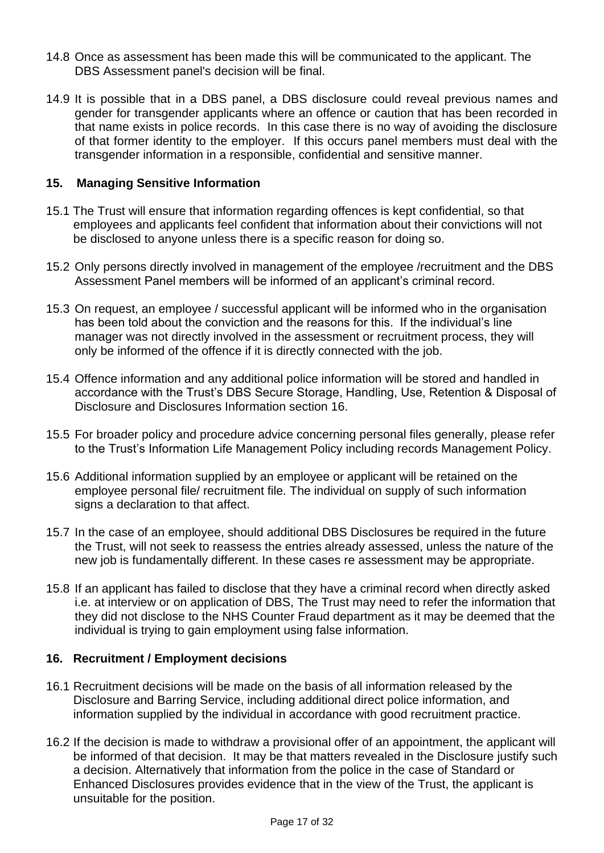- 14.8 Once as assessment has been made this will be communicated to the applicant. The DBS Assessment panel's decision will be final.
- 14.9 It is possible that in a DBS panel, a DBS disclosure could reveal previous names and gender for transgender applicants where an offence or caution that has been recorded in that name exists in police records. In this case there is no way of avoiding the disclosure of that former identity to the employer. If this occurs panel members must deal with the transgender information in a responsible, confidential and sensitive manner.

# <span id="page-16-0"></span>**15. Managing Sensitive Information**

- 15.1 The Trust will ensure that information regarding offences is kept confidential, so that employees and applicants feel confident that information about their convictions will not be disclosed to anyone unless there is a specific reason for doing so.
- 15.2 Only persons directly involved in management of the employee /recruitment and the DBS Assessment Panel members will be informed of an applicant's criminal record.
- 15.3 On request, an employee / successful applicant will be informed who in the organisation has been told about the conviction and the reasons for this. If the individual's line manager was not directly involved in the assessment or recruitment process, they will only be informed of the offence if it is directly connected with the job.
- 15.4 Offence information and any additional police information will be stored and handled in accordance with the Trust's DBS Secure Storage, Handling, Use, Retention & Disposal of Disclosure and Disclosures Information section 16.
- 15.5 For broader policy and procedure advice concerning personal files generally, please refer to the Trust's Information Life Management Policy including records Management Policy.
- 15.6 Additional information supplied by an employee or applicant will be retained on the employee personal file/ recruitment file. The individual on supply of such information signs a declaration to that affect.
- 15.7 In the case of an employee, should additional DBS Disclosures be required in the future the Trust, will not seek to reassess the entries already assessed, unless the nature of the new job is fundamentally different. In these cases re assessment may be appropriate.
- 15.8 If an applicant has failed to disclose that they have a criminal record when directly asked i.e. at interview or on application of DBS, The Trust may need to refer the information that they did not disclose to the NHS Counter Fraud department as it may be deemed that the individual is trying to gain employment using false information.

#### <span id="page-16-1"></span>**16. Recruitment / Employment decisions**

- 16.1 Recruitment decisions will be made on the basis of all information released by the Disclosure and Barring Service, including additional direct police information, and information supplied by the individual in accordance with good recruitment practice.
- 16.2 If the decision is made to withdraw a provisional offer of an appointment, the applicant will be informed of that decision. It may be that matters revealed in the Disclosure justify such a decision. Alternatively that information from the police in the case of Standard or Enhanced Disclosures provides evidence that in the view of the Trust, the applicant is unsuitable for the position.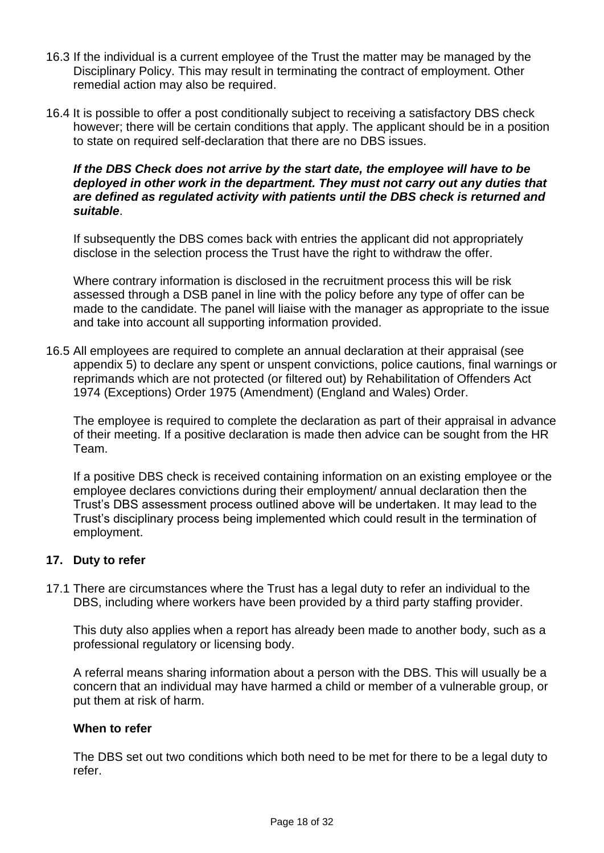- 16.3 If the individual is a current employee of the Trust the matter may be managed by the Disciplinary Policy. This may result in terminating the contract of employment. Other remedial action may also be required.
- 16.4 It is possible to offer a post conditionally subject to receiving a satisfactory DBS check however; there will be certain conditions that apply. The applicant should be in a position to state on required self-declaration that there are no DBS issues.

#### *If the DBS Check does not arrive by the start date, the employee will have to be deployed in other work in the department. They must not carry out any duties that are defined as regulated activity with patients until the DBS check is returned and suitable*.

If subsequently the DBS comes back with entries the applicant did not appropriately disclose in the selection process the Trust have the right to withdraw the offer.

Where contrary information is disclosed in the recruitment process this will be risk assessed through a DSB panel in line with the policy before any type of offer can be made to the candidate. The panel will liaise with the manager as appropriate to the issue and take into account all supporting information provided.

16.5 All employees are required to complete an annual declaration at their appraisal (see appendix 5) to declare any spent or unspent convictions, police cautions, final warnings or reprimands which are not protected (or filtered out) by Rehabilitation of Offenders Act 1974 (Exceptions) Order 1975 (Amendment) (England and Wales) Order.

The employee is required to complete the declaration as part of their appraisal in advance of their meeting. If a positive declaration is made then advice can be sought from the HR Team.

If a positive DBS check is received containing information on an existing employee or the employee declares convictions during their employment/ annual declaration then the Trust's DBS assessment process outlined above will be undertaken. It may lead to the Trust's disciplinary process being implemented which could result in the termination of employment.

#### <span id="page-17-0"></span>**17. Duty to refer**

17.1 There are circumstances where the Trust has a legal duty to refer an individual to the DBS, including where workers have been provided by a third party staffing provider.

This duty also applies when a report has already been made to another body, such as a professional regulatory or licensing body.

A referral means sharing information about a person with the DBS. This will usually be a concern that an individual may have harmed a child or member of a vulnerable group, or put them at risk of harm.

#### **When to refer**

The DBS set out two conditions which both need to be met for there to be a legal duty to refer.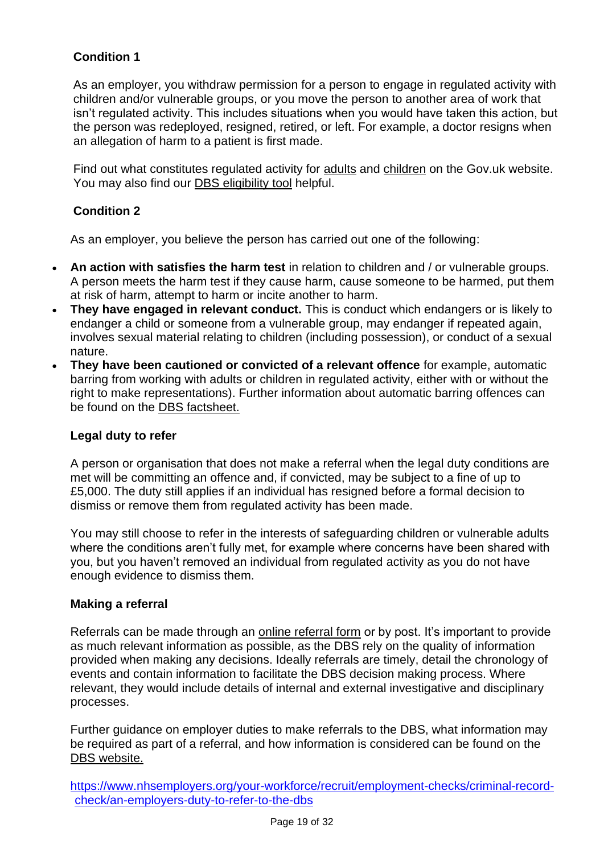# **Condition 1**

As an employer, you withdraw permission for a person to engage in regulated activity with children and/or vulnerable groups, or you move the person to another area of work that isn't regulated activity. This includes situations when you would have taken this action, but the person was redeployed, resigned, retired, or left. For example, a doctor resigns when an allegation of harm to a patient is first made.

Find out what constitutes regulated activity for [adults](http://https/assets.publishing.service.gov.uk/government/uploads/system/uploads/attachment_data/file/216900/Regulated-Activity-Adults-Dec-2012.pdf) and [children](https://assets.publishing.service.gov.uk/government/uploads/system/uploads/attachment_data/file/550197/Regulated_activity_in_relation_to_children.pdf) on the Gov.uk website. You may also find our [DBS eligibility tool](https://www.nhsemployers.org/case-studies-and-resources/2018/08/dbs-eligibility-tool) helpful.

# **Condition 2**

As an employer, you believe the person has carried out one of the following:

- **An action with satisfies the harm test** in relation to children and / or vulnerable groups. A person meets the harm test if they cause harm, cause someone to be harmed, put them at risk of harm, attempt to harm or incite another to harm.
- **They have engaged in relevant conduct.** This is conduct which endangers or is likely to endanger a child or someone from a vulnerable group, may endanger if repeated again, involves sexual material relating to children (including possession), or conduct of a sexual nature.
- **They have been cautioned or convicted of a relevant offence** for example, automatic barring from working with adults or children in regulated activity, either with or without the right to make representations). Further information about automatic barring offences can be found on the [DBS factsheet.](http://www.safeguardingdurhamadults.info/media/13639/DBS-referral-guide-relevant-offences-for-England-and-Wales/pdf/Relevant_offences_for_England_and_Wales.pdf)

# **Legal duty to refer**

A person or organisation that does not make a referral when the legal duty conditions are met will be committing an offence and, if convicted, may be subject to a fine of up to £5,000. The duty still applies if an individual has resigned before a formal decision to dismiss or remove them from regulated activity has been made.

You may still choose to refer in the interests of safeguarding children or vulnerable adults where the conditions aren't fully met, for example where concerns have been shared with you, but you haven't removed an individual from regulated activity as you do not have enough evidence to dismiss them.

# **Making a referral**

Referrals can be made through an [online referral form](https://barring.homeoffice.gov.uk/) or by post. It's important to provide as much relevant information as possible, as the DBS rely on the quality of information provided when making any decisions. Ideally referrals are timely, detail the chronology of events and contain information to facilitate the DBS decision making process. Where relevant, they would include details of internal and external investigative and disciplinary processes.

Further guidance on employer duties to make referrals to the DBS, what information may be required as part of a referral, and how information is considered can be found on the [DBS website.](https://www.gov.uk/guidance/making-barring-referrals-to-the-dbs)

<span id="page-18-0"></span>[https://www.nhsemployers.org/your-workforce/recruit/employment-checks/criminal-record](https://www.nhsemployers.org/your-workforce/recruit/employment-checks/criminal-record-check/an-employers-duty-to-refer-to-the-dbs)[check/an-employers-duty-to-refer-to-the-dbs](https://www.nhsemployers.org/your-workforce/recruit/employment-checks/criminal-record-check/an-employers-duty-to-refer-to-the-dbs)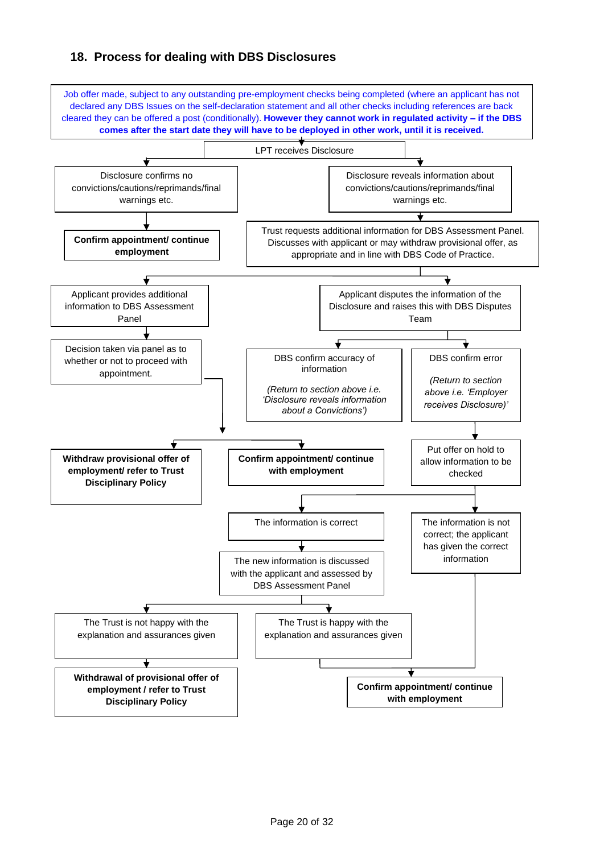# **18. Process for dealing with DBS Disclosures**

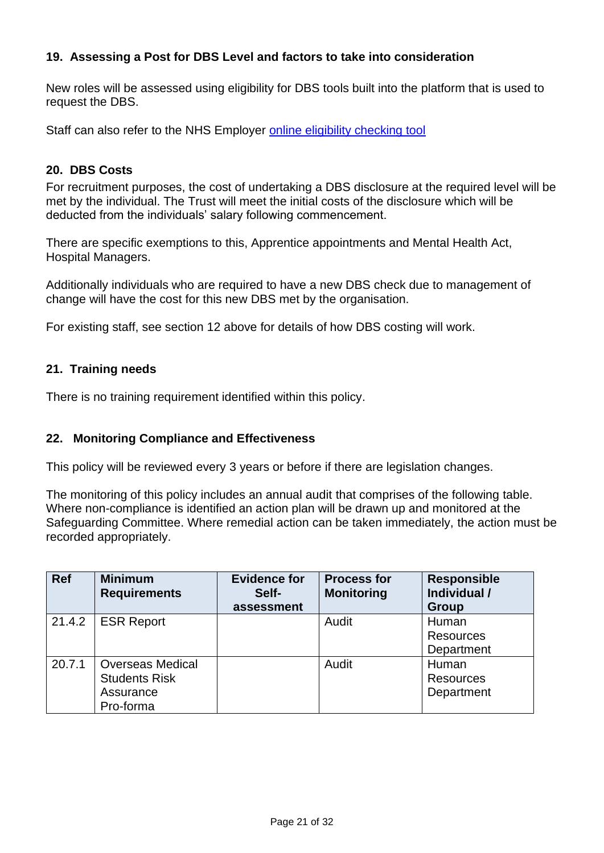# <span id="page-20-0"></span>**19. Assessing a Post for DBS Level and factors to take into consideration**

New roles will be assessed using eligibility for DBS tools built into the platform that is used to request the DBS.

Staff can also refer to the NHS Employer [online eligibility checking tool](https://www.nhsemployers.org/case-studies-and-resources/2018/08/dbs-eligibility-tool)

#### <span id="page-20-1"></span>**20. DBS Costs**

For recruitment purposes, the cost of undertaking a DBS disclosure at the required level will be met by the individual. The Trust will meet the initial costs of the disclosure which will be deducted from the individuals' salary following commencement.

There are specific exemptions to this, Apprentice appointments and Mental Health Act, Hospital Managers.

Additionally individuals who are required to have a new DBS check due to management of change will have the cost for this new DBS met by the organisation.

For existing staff, see section 12 above for details of how DBS costing will work.

#### <span id="page-20-2"></span>**21. Training needs**

<span id="page-20-3"></span>There is no training requirement identified within this policy.

#### **22. Monitoring Compliance and Effectiveness**

This policy will be reviewed every 3 years or before if there are legislation changes.

The monitoring of this policy includes an annual audit that comprises of the following table. Where non-compliance is identified an action plan will be drawn up and monitored at the Safeguarding Committee. Where remedial action can be taken immediately, the action must be recorded appropriately.

| <b>Ref</b> | <b>Minimum</b>          | <b>Evidence for</b> | <b>Process for</b> | <b>Responsible</b> |
|------------|-------------------------|---------------------|--------------------|--------------------|
|            | <b>Requirements</b>     | Self-               | <b>Monitoring</b>  | Individual /       |
|            |                         | assessment          |                    | <b>Group</b>       |
| 21.4.2     | <b>ESR Report</b>       |                     | Audit              | Human              |
|            |                         |                     |                    | <b>Resources</b>   |
|            |                         |                     |                    | Department         |
| 20.7.1     | <b>Overseas Medical</b> |                     | Audit              | Human              |
|            | <b>Students Risk</b>    |                     |                    | <b>Resources</b>   |
|            | Assurance               |                     |                    | Department         |
|            | Pro-forma               |                     |                    |                    |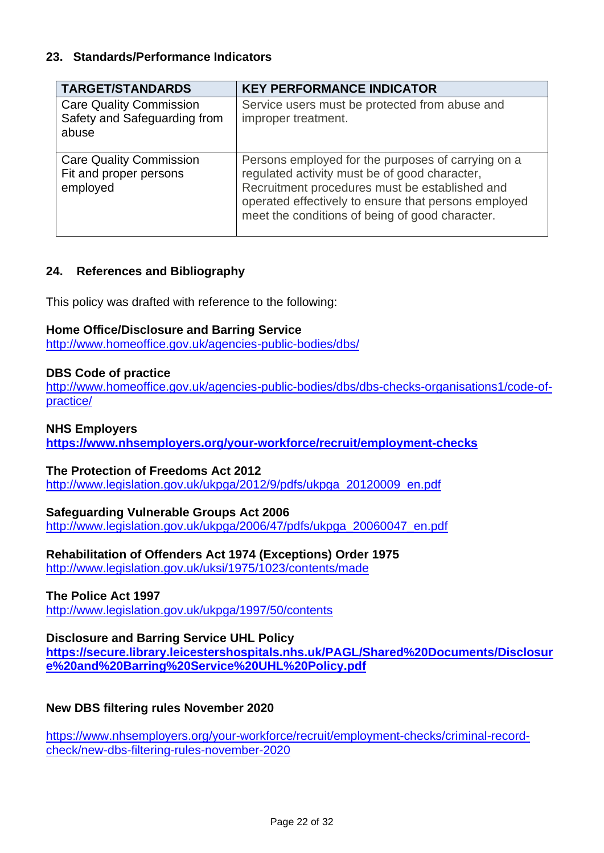### <span id="page-21-0"></span>**23. Standards/Performance Indicators**

| <b>TARGET/STANDARDS</b>                                                 | <b>KEY PERFORMANCE INDICATOR</b>                                                                                                                                                                                                                                 |
|-------------------------------------------------------------------------|------------------------------------------------------------------------------------------------------------------------------------------------------------------------------------------------------------------------------------------------------------------|
| <b>Care Quality Commission</b><br>Safety and Safeguarding from<br>abuse | Service users must be protected from abuse and<br>improper treatment.                                                                                                                                                                                            |
| <b>Care Quality Commission</b><br>Fit and proper persons<br>employed    | Persons employed for the purposes of carrying on a<br>regulated activity must be of good character,<br>Recruitment procedures must be established and<br>operated effectively to ensure that persons employed<br>meet the conditions of being of good character. |

# <span id="page-21-1"></span>**24. References and Bibliography**

This policy was drafted with reference to the following:

#### **Home Office/Disclosure and Barring Service**

<http://www.homeoffice.gov.uk/agencies-public-bodies/dbs/>

#### **DBS Code of practice**

[http://www.homeoffice.gov.uk/agencies-public-bodies/dbs/dbs-checks-organisations1/code-of](http://www.homeoffice.gov.uk/agencies-public-bodies/dbs/dbs-checks-organisations1/code-of-practice/)[practice/](http://www.homeoffice.gov.uk/agencies-public-bodies/dbs/dbs-checks-organisations1/code-of-practice/)

#### **NHS Employers**

**<https://www.nhsemployers.org/your-workforce/recruit/employment-checks>**

#### **The Protection of Freedoms Act 2012**

[http://www.legislation.gov.uk/ukpga/2012/9/pdfs/ukpga\\_20120009\\_en.pdf](http://www.legislation.gov.uk/ukpga/2012/9/pdfs/ukpga_20120009_en.pdf)

#### **Safeguarding Vulnerable Groups Act 2006**

http://www.legislation.gov.uk/ukpga/2006/47/pdfs/ukpga\_20060047\_en.pdf

# **Rehabilitation of Offenders Act 1974 (Exceptions) Order 1975**

<http://www.legislation.gov.uk/uksi/1975/1023/contents/made>

#### **The Police Act 1997**

<http://www.legislation.gov.uk/ukpga/1997/50/contents>

# **Disclosure and Barring Service UHL Policy**

**[https://secure.library.leicestershospitals.nhs.uk/PAGL/Shared%20Documents/Disclosur](https://secure.library.leicestershospitals.nhs.uk/PAGL/Shared%20Documents/Disclosure%20and%20Barring%20Service%20UHL%20Policy.pdf) [e%20and%20Barring%20Service%20UHL%20Policy.pdf](https://secure.library.leicestershospitals.nhs.uk/PAGL/Shared%20Documents/Disclosure%20and%20Barring%20Service%20UHL%20Policy.pdf)**

# **New DBS filtering rules November 2020**

https://www.nhsemployers.org/your-workforce/recruit/employment-checks/criminal-recordcheck/new-dbs-filtering-rules-november-2020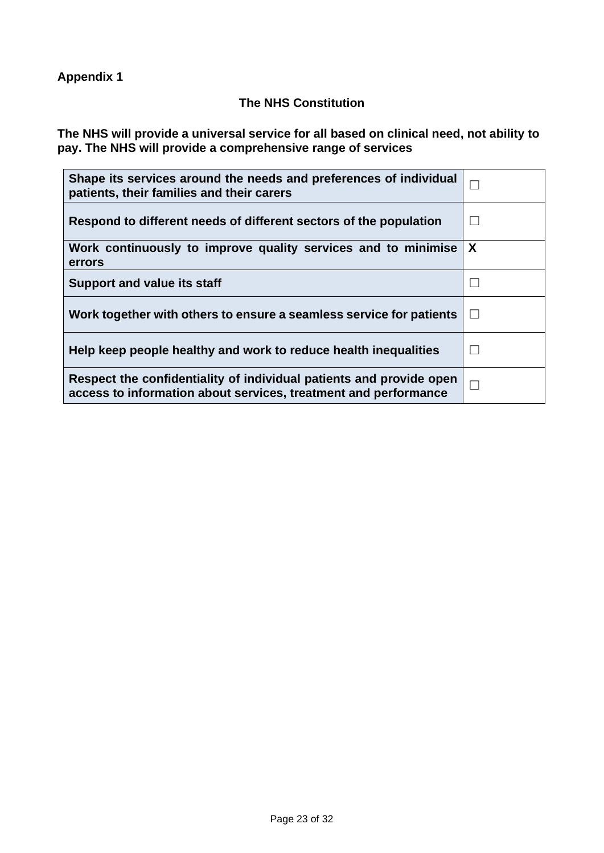<span id="page-22-0"></span>**Appendix 1** 

# **The NHS Constitution**

**The NHS will provide a universal service for all based on clinical need, not ability to pay. The NHS will provide a comprehensive range of services**

| Shape its services around the needs and preferences of individual<br>patients, their families and their carers                         | П |
|----------------------------------------------------------------------------------------------------------------------------------------|---|
| Respond to different needs of different sectors of the population                                                                      |   |
| Work continuously to improve quality services and to minimise<br>errors                                                                | X |
| <b>Support and value its staff</b>                                                                                                     |   |
| Work together with others to ensure a seamless service for patients                                                                    | П |
| Help keep people healthy and work to reduce health inequalities                                                                        |   |
| Respect the confidentiality of individual patients and provide open<br>access to information about services, treatment and performance | П |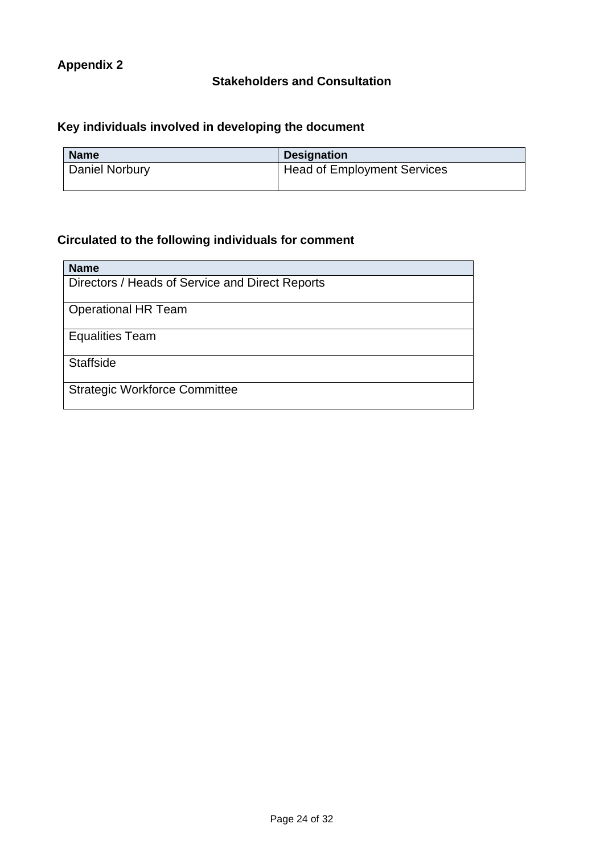# **Stakeholders and Consultation**

# <span id="page-23-0"></span>**Key individuals involved in developing the document**

| <b>Name</b>    | <b>Designation</b>                 |
|----------------|------------------------------------|
| Daniel Norbury | <b>Head of Employment Services</b> |

# **Circulated to the following individuals for comment**

| <b>Name</b>                                     |
|-------------------------------------------------|
| Directors / Heads of Service and Direct Reports |
| <b>Operational HR Team</b>                      |
| <b>Equalities Team</b>                          |
| <b>Staffside</b>                                |
| <b>Strategic Workforce Committee</b>            |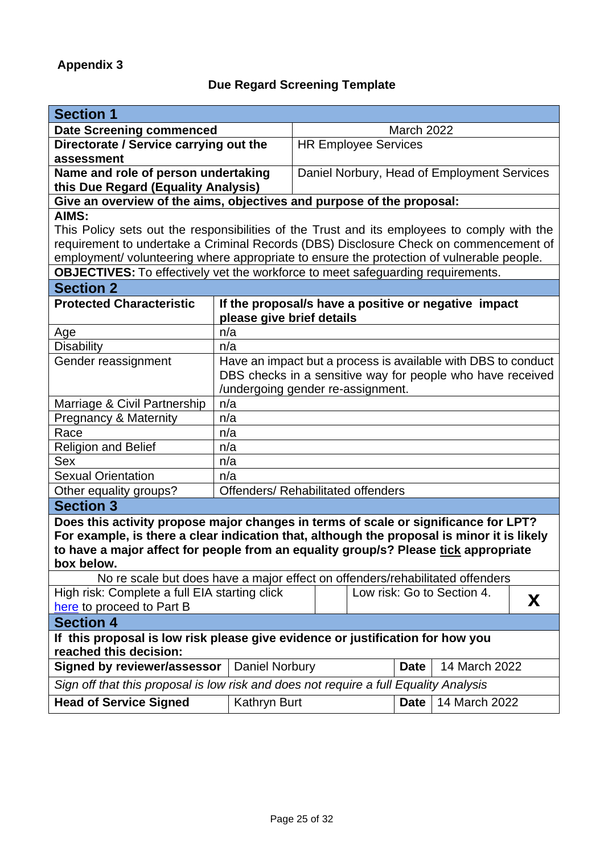# **Due Regard Screening Template**

<span id="page-24-0"></span>

| <b>Section 1</b>                                                                                                                                                                                                                                                                       |                           |                                                               |             |               |  |
|----------------------------------------------------------------------------------------------------------------------------------------------------------------------------------------------------------------------------------------------------------------------------------------|---------------------------|---------------------------------------------------------------|-------------|---------------|--|
| <b>Date Screening commenced</b>                                                                                                                                                                                                                                                        |                           | <b>March 2022</b>                                             |             |               |  |
| Directorate / Service carrying out the<br>assessment                                                                                                                                                                                                                                   |                           | <b>HR Employee Services</b>                                   |             |               |  |
| Name and role of person undertaking<br>this Due Regard (Equality Analysis)                                                                                                                                                                                                             |                           | Daniel Norbury, Head of Employment Services                   |             |               |  |
| Give an overview of the aims, objectives and purpose of the proposal:                                                                                                                                                                                                                  |                           |                                                               |             |               |  |
| AIMS:                                                                                                                                                                                                                                                                                  |                           |                                                               |             |               |  |
| This Policy sets out the responsibilities of the Trust and its employees to comply with the                                                                                                                                                                                            |                           |                                                               |             |               |  |
| requirement to undertake a Criminal Records (DBS) Disclosure Check on commencement of                                                                                                                                                                                                  |                           |                                                               |             |               |  |
| employment/ volunteering where appropriate to ensure the protection of vulnerable people.                                                                                                                                                                                              |                           |                                                               |             |               |  |
| <b>OBJECTIVES:</b> To effectively vet the workforce to meet safeguarding requirements.                                                                                                                                                                                                 |                           |                                                               |             |               |  |
| <b>Section 2</b>                                                                                                                                                                                                                                                                       |                           |                                                               |             |               |  |
| <b>Protected Characteristic</b>                                                                                                                                                                                                                                                        |                           | If the proposal/s have a positive or negative impact          |             |               |  |
|                                                                                                                                                                                                                                                                                        | please give brief details |                                                               |             |               |  |
| Age                                                                                                                                                                                                                                                                                    | n/a                       |                                                               |             |               |  |
| <b>Disability</b>                                                                                                                                                                                                                                                                      | n/a                       |                                                               |             |               |  |
| Gender reassignment                                                                                                                                                                                                                                                                    |                           | Have an impact but a process is available with DBS to conduct |             |               |  |
|                                                                                                                                                                                                                                                                                        |                           | DBS checks in a sensitive way for people who have received    |             |               |  |
|                                                                                                                                                                                                                                                                                        |                           | /undergoing gender re-assignment.                             |             |               |  |
| Marriage & Civil Partnership                                                                                                                                                                                                                                                           | n/a                       |                                                               |             |               |  |
| <b>Pregnancy &amp; Maternity</b>                                                                                                                                                                                                                                                       | n/a                       |                                                               |             |               |  |
| Race                                                                                                                                                                                                                                                                                   | n/a                       |                                                               |             |               |  |
| <b>Religion and Belief</b>                                                                                                                                                                                                                                                             | n/a                       |                                                               |             |               |  |
| Sex                                                                                                                                                                                                                                                                                    | n/a                       |                                                               |             |               |  |
| <b>Sexual Orientation</b>                                                                                                                                                                                                                                                              | n/a                       |                                                               |             |               |  |
| Other equality groups?                                                                                                                                                                                                                                                                 |                           | <b>Offenders/ Rehabilitated offenders</b>                     |             |               |  |
| <b>Section 3</b>                                                                                                                                                                                                                                                                       |                           |                                                               |             |               |  |
| Does this activity propose major changes in terms of scale or significance for LPT?<br>For example, is there a clear indication that, although the proposal is minor it is likely<br>to have a major affect for people from an equality group/s? Please tick appropriate<br>box below. |                           |                                                               |             |               |  |
| No re scale but does have a major effect on offenders/rehabilitated offenders                                                                                                                                                                                                          |                           |                                                               |             |               |  |
| High risk: Complete a full EIA starting click<br>Low risk: Go to Section 4.<br>X<br>here to proceed to Part B                                                                                                                                                                          |                           |                                                               |             |               |  |
| <b>Section 4</b>                                                                                                                                                                                                                                                                       |                           |                                                               |             |               |  |
| If this proposal is low risk please give evidence or justification for how you<br>reached this decision:                                                                                                                                                                               |                           |                                                               |             |               |  |
| 14 March 2022<br><b>Signed by reviewer/assessor</b><br>Daniel Norbury<br><b>Date</b>                                                                                                                                                                                                   |                           |                                                               |             |               |  |
| Sign off that this proposal is low risk and does not require a full Equality Analysis                                                                                                                                                                                                  |                           |                                                               |             |               |  |
| <b>Head of Service Signed</b>                                                                                                                                                                                                                                                          | Kathryn Burt              |                                                               | <b>Date</b> | 14 March 2022 |  |
|                                                                                                                                                                                                                                                                                        |                           |                                                               |             |               |  |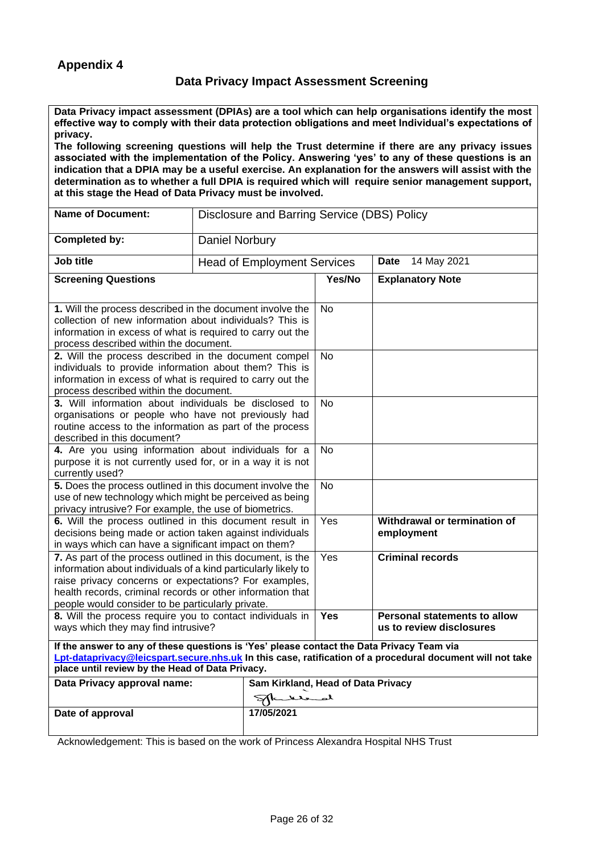#### **Data Privacy Impact Assessment Screening**

<span id="page-25-0"></span>**Data Privacy impact assessment (DPIAs) are a tool which can help organisations identify the most effective way to comply with their data protection obligations and meet Individual's expectations of privacy.** 

**The following screening questions will help the Trust determine if there are any privacy issues associated with the implementation of the Policy. Answering 'yes' to any of these questions is an indication that a DPIA may be a useful exercise. An explanation for the answers will assist with the determination as to whether a full DPIA is required which will require senior management support, at this stage the Head of Data Privacy must be involved.**

| <b>Name of Document:</b>                                                                                                                                                                                                                                                                                  | Disclosure and Barring Service (DBS) Policy |           |                                                          |  |  |
|-----------------------------------------------------------------------------------------------------------------------------------------------------------------------------------------------------------------------------------------------------------------------------------------------------------|---------------------------------------------|-----------|----------------------------------------------------------|--|--|
| <b>Completed by:</b>                                                                                                                                                                                                                                                                                      | <b>Daniel Norbury</b>                       |           |                                                          |  |  |
| Job title                                                                                                                                                                                                                                                                                                 | <b>Head of Employment Services</b>          |           | <b>Date</b> 14 May 2021                                  |  |  |
| <b>Screening Questions</b>                                                                                                                                                                                                                                                                                |                                             | Yes/No    | <b>Explanatory Note</b>                                  |  |  |
| 1. Will the process described in the document involve the<br>collection of new information about individuals? This is<br>information in excess of what is required to carry out the<br>process described within the document.                                                                             |                                             | <b>No</b> |                                                          |  |  |
| 2. Will the process described in the document compel<br>individuals to provide information about them? This is<br>information in excess of what is required to carry out the<br>process described within the document.                                                                                    |                                             | <b>No</b> |                                                          |  |  |
| 3. Will information about individuals be disclosed to<br>organisations or people who have not previously had<br>routine access to the information as part of the process<br>described in this document?                                                                                                   |                                             | <b>No</b> |                                                          |  |  |
| 4. Are you using information about individuals for a<br>purpose it is not currently used for, or in a way it is not<br>currently used?                                                                                                                                                                    |                                             | <b>No</b> |                                                          |  |  |
| 5. Does the process outlined in this document involve the<br>use of new technology which might be perceived as being<br>privacy intrusive? For example, the use of biometrics.                                                                                                                            |                                             | <b>No</b> |                                                          |  |  |
| 6. Will the process outlined in this document result in<br>decisions being made or action taken against individuals<br>in ways which can have a significant impact on them?                                                                                                                               |                                             | Yes       | Withdrawal or termination of<br>employment               |  |  |
| 7. As part of the process outlined in this document, is the<br>information about individuals of a kind particularly likely to<br>raise privacy concerns or expectations? For examples,<br>health records, criminal records or other information that<br>people would consider to be particularly private. |                                             | Yes       | <b>Criminal records</b>                                  |  |  |
| 8. Will the process require you to contact individuals in<br>ways which they may find intrusive?                                                                                                                                                                                                          |                                             | Yes       | Personal statements to allow<br>us to review disclosures |  |  |
| If the answer to any of these questions is 'Yes' please contact the Data Privacy Team via<br>Lpt-dataprivacy@leicspart.secure.nhs.uk In this case, ratification of a procedural document will not take<br>place until review by the Head of Data Privacy.                                                 |                                             |           |                                                          |  |  |
| Data Privacy approval name:                                                                                                                                                                                                                                                                               | Sam Kirkland, Head of Data Privacy          |           |                                                          |  |  |
|                                                                                                                                                                                                                                                                                                           | لمصحلا                                      |           |                                                          |  |  |
| Date of approval                                                                                                                                                                                                                                                                                          | 17/05/2021                                  |           |                                                          |  |  |

Acknowledgement: This is based on the work of Princess Alexandra Hospital NHS Trust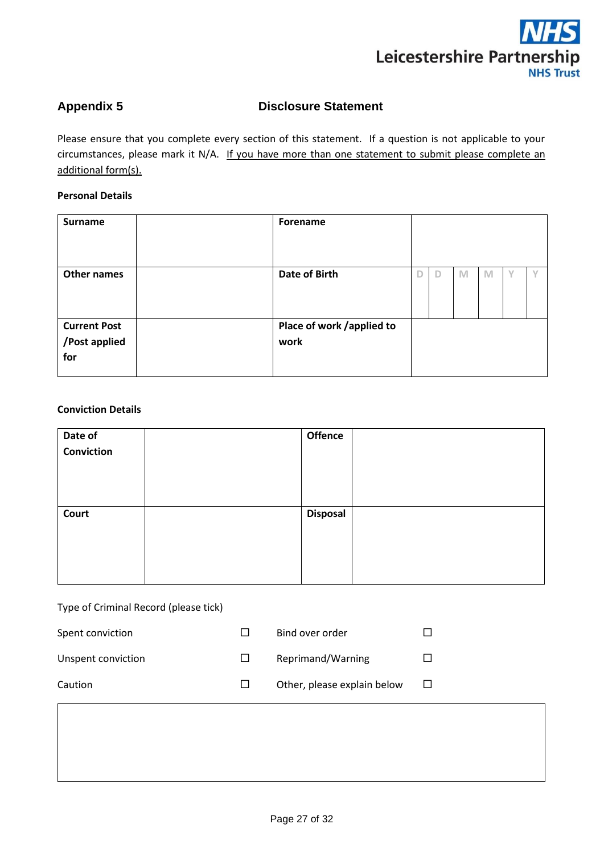

#### <span id="page-26-0"></span>Appendix 5 **Disclosure Statement**

Please ensure that you complete every section of this statement. If a question is not applicable to your circumstances, please mark it N/A. If you have more than one statement to submit please complete an additional form(s).

#### **Personal Details**

| <b>Surname</b>                              | Forename                          |   |   |   |   |  |
|---------------------------------------------|-----------------------------------|---|---|---|---|--|
| <b>Other names</b>                          | Date of Birth                     | D | D | M | M |  |
| <b>Current Post</b><br>/Post applied<br>for | Place of work /applied to<br>work |   |   |   |   |  |

#### **Conviction Details**

| Date of    | Offence         |  |
|------------|-----------------|--|
| Conviction |                 |  |
|            |                 |  |
|            |                 |  |
|            |                 |  |
| Court      | <b>Disposal</b> |  |
|            |                 |  |
|            |                 |  |
|            |                 |  |
|            |                 |  |

#### Type of Criminal Record (please tick)

| Spent conviction   |         | Bind over order             |   |
|--------------------|---------|-----------------------------|---|
| Unspent conviction |         | Reprimand/Warning           |   |
| Caution            | $\perp$ | Other, please explain below | ⊔ |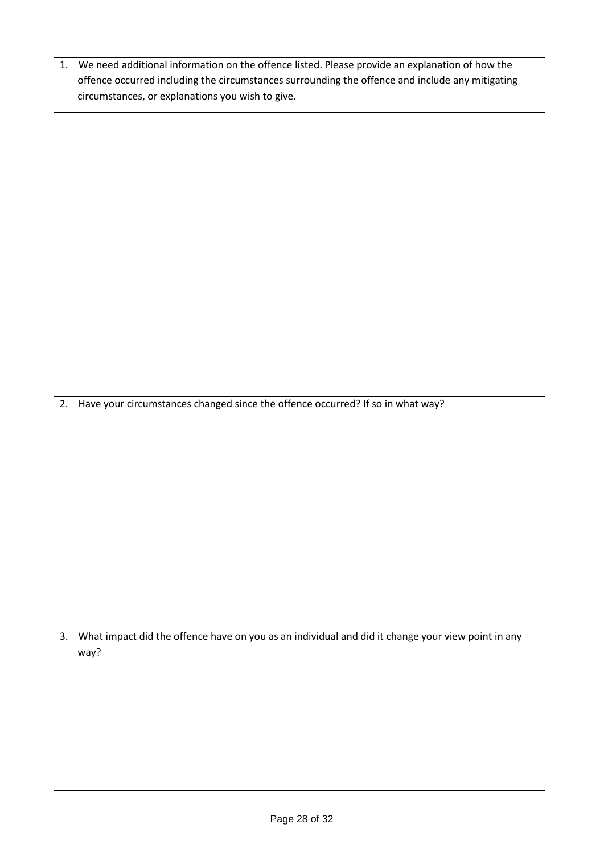| 1. | We need additional information on the offence listed. Please provide an explanation of how the    |  |  |
|----|---------------------------------------------------------------------------------------------------|--|--|
|    | offence occurred including the circumstances surrounding the offence and include any mitigating   |  |  |
|    | circumstances, or explanations you wish to give.                                                  |  |  |
|    |                                                                                                   |  |  |
|    |                                                                                                   |  |  |
|    |                                                                                                   |  |  |
|    |                                                                                                   |  |  |
|    |                                                                                                   |  |  |
|    |                                                                                                   |  |  |
|    |                                                                                                   |  |  |
|    |                                                                                                   |  |  |
|    |                                                                                                   |  |  |
|    |                                                                                                   |  |  |
|    |                                                                                                   |  |  |
|    |                                                                                                   |  |  |
|    |                                                                                                   |  |  |
|    |                                                                                                   |  |  |
|    |                                                                                                   |  |  |
|    |                                                                                                   |  |  |
|    |                                                                                                   |  |  |
|    |                                                                                                   |  |  |
|    |                                                                                                   |  |  |
|    |                                                                                                   |  |  |
| 2. | Have your circumstances changed since the offence occurred? If so in what way?                    |  |  |
|    |                                                                                                   |  |  |
|    |                                                                                                   |  |  |
|    |                                                                                                   |  |  |
|    |                                                                                                   |  |  |
|    |                                                                                                   |  |  |
|    |                                                                                                   |  |  |
|    |                                                                                                   |  |  |
|    |                                                                                                   |  |  |
|    |                                                                                                   |  |  |
|    |                                                                                                   |  |  |
|    |                                                                                                   |  |  |
|    |                                                                                                   |  |  |
|    |                                                                                                   |  |  |
|    |                                                                                                   |  |  |
|    |                                                                                                   |  |  |
|    |                                                                                                   |  |  |
| 3. | What impact did the offence have on you as an individual and did it change your view point in any |  |  |
|    | way?                                                                                              |  |  |
|    |                                                                                                   |  |  |
|    |                                                                                                   |  |  |
|    |                                                                                                   |  |  |
|    |                                                                                                   |  |  |
|    |                                                                                                   |  |  |
|    |                                                                                                   |  |  |
|    |                                                                                                   |  |  |
|    |                                                                                                   |  |  |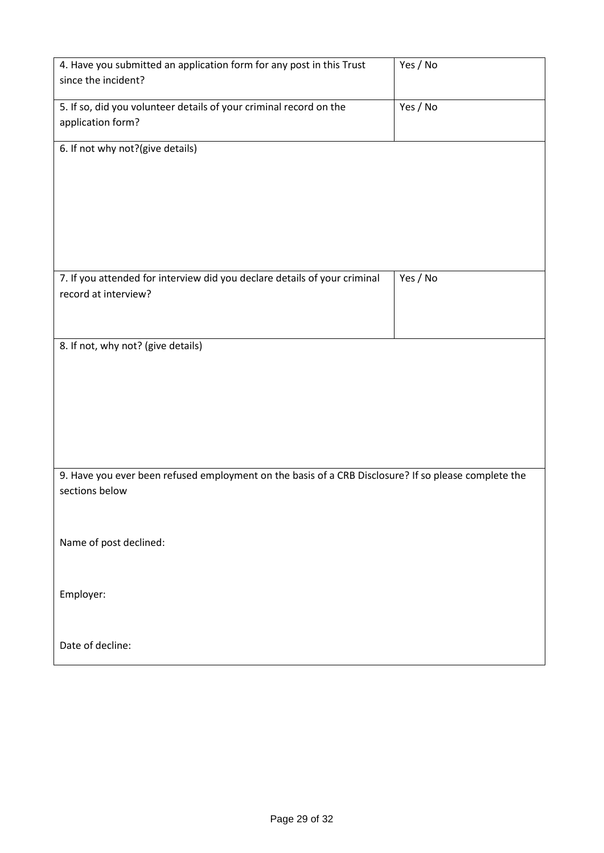| 4. Have you submitted an application form for any post in this Trust                                 | Yes / No |
|------------------------------------------------------------------------------------------------------|----------|
| since the incident?                                                                                  |          |
| 5. If so, did you volunteer details of your criminal record on the                                   | Yes / No |
| application form?                                                                                    |          |
| 6. If not why not?(give details)                                                                     |          |
|                                                                                                      |          |
|                                                                                                      |          |
|                                                                                                      |          |
|                                                                                                      |          |
|                                                                                                      |          |
| 7. If you attended for interview did you declare details of your criminal                            | Yes / No |
| record at interview?                                                                                 |          |
|                                                                                                      |          |
|                                                                                                      |          |
| 8. If not, why not? (give details)                                                                   |          |
|                                                                                                      |          |
|                                                                                                      |          |
|                                                                                                      |          |
|                                                                                                      |          |
|                                                                                                      |          |
| 9. Have you ever been refused employment on the basis of a CRB Disclosure? If so please complete the |          |
| sections below                                                                                       |          |
|                                                                                                      |          |
| Name of post declined:                                                                               |          |
|                                                                                                      |          |
|                                                                                                      |          |
| Employer:                                                                                            |          |
|                                                                                                      |          |
| Date of decline:                                                                                     |          |
|                                                                                                      |          |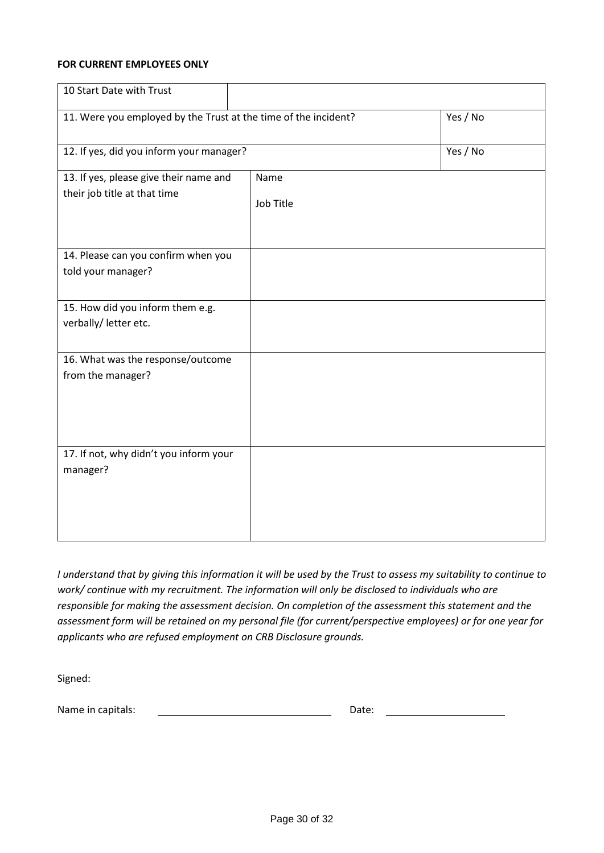#### **FOR CURRENT EMPLOYEES ONLY**

| 10 Start Date with Trust                                               |                   |          |
|------------------------------------------------------------------------|-------------------|----------|
| 11. Were you employed by the Trust at the time of the incident?        |                   | Yes / No |
| 12. If yes, did you inform your manager?                               |                   | Yes / No |
| 13. If yes, please give their name and<br>their job title at that time | Name<br>Job Title |          |
| 14. Please can you confirm when you<br>told your manager?              |                   |          |
| 15. How did you inform them e.g.<br>verbally/ letter etc.              |                   |          |
| 16. What was the response/outcome<br>from the manager?                 |                   |          |
| 17. If not, why didn't you inform your<br>manager?                     |                   |          |

*I understand that by giving this information it will be used by the Trust to assess my suitability to continue to work/ continue with my recruitment. The information will only be disclosed to individuals who are responsible for making the assessment decision. On completion of the assessment this statement and the assessment form will be retained on my personal file (for current/perspective employees) or for one year for applicants who are refused employment on CRB Disclosure grounds.*

Signed:

Name in capitals: Date: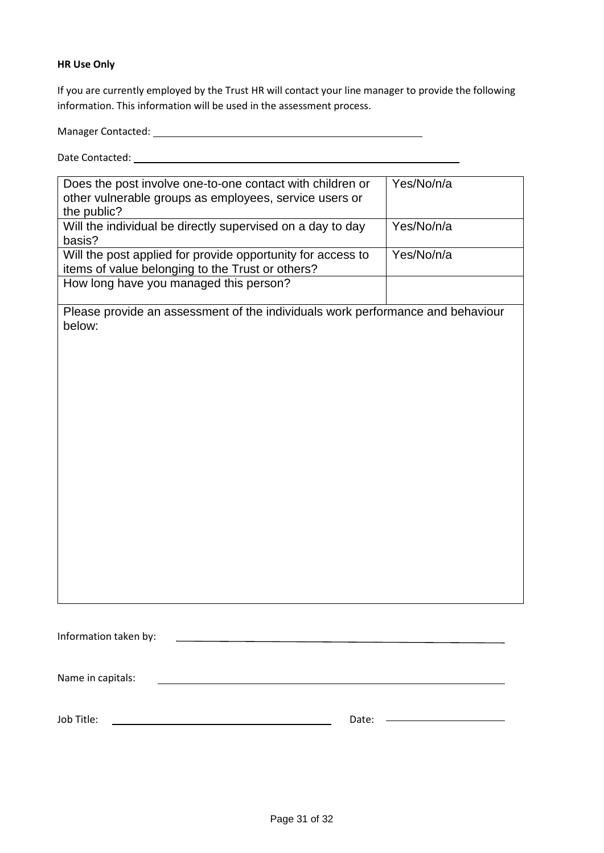#### **HR Use Only**

If you are currently employed by the Trust HR will contact your line manager to provide the following information. This information will be used in the assessment process.

Manager Contacted:

Date Contacted:

| Does the post involve one-to-one contact with children or<br>other vulnerable groups as employees, service users or | Yes/No/n/a |
|---------------------------------------------------------------------------------------------------------------------|------------|
| the public?                                                                                                         |            |
| Will the individual be directly supervised on a day to day<br>basis?                                                | Yes/No/n/a |
| Will the post applied for provide opportunity for access to                                                         | Yes/No/n/a |
| items of value belonging to the Trust or others?                                                                    |            |
| How long have you managed this person?                                                                              |            |
| Please provide an assessment of the individuals work performance and behaviour<br>below:                            |            |
|                                                                                                                     |            |
|                                                                                                                     |            |
| Information taken by:                                                                                               |            |
|                                                                                                                     |            |
| Name in capitals:                                                                                                   |            |

Job Title: Date: